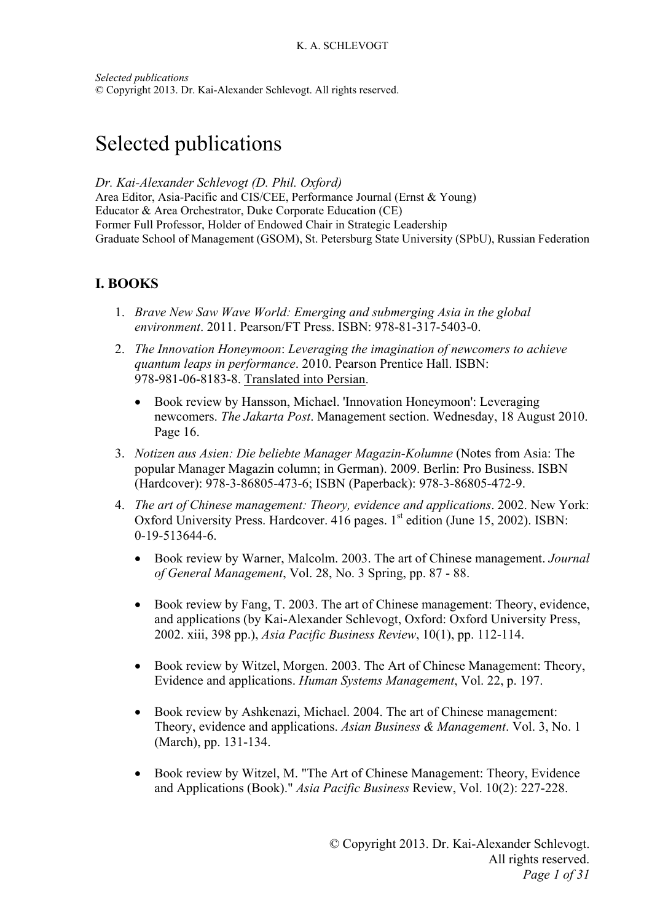*Selected publications* © Copyright 2013. Dr. Kai-Alexander Schlevogt. All rights reserved.

# Selected publications

*Dr. Kai-Alexander Schlevogt (D. Phil. Oxford)* 

Area Editor, Asia-Pacific and CIS/CEE, Performance Journal (Ernst & Young) Educator & Area Orchestrator, Duke Corporate Education (CE) Former Full Professor, Holder of Endowed Chair in Strategic Leadership Graduate School of Management (GSOM), St. Petersburg State University (SPbU), Russian Federation

## **I. BOOKS**

- 1. *Brave New Saw Wave World: Emerging and submerging Asia in the global environment*. 2011. Pearson/FT Press. ISBN: 978-81-317-5403-0.
- 2. *The Innovation Honeymoon*: *Leveraging the imagination of newcomers to achieve quantum leaps in performance*. 2010. Pearson Prentice Hall. ISBN: 978-981-06-8183-8. Translated into Persian.
	- Book review by Hansson, Michael. 'Innovation Honeymoon': Leveraging newcomers. *The Jakarta Post*. Management section. Wednesday, 18 August 2010. Page 16.
- 3. *Notizen aus Asien: Die beliebte Manager Magazin-Kolumne* (Notes from Asia: The popular Manager Magazin column; in German). 2009. Berlin: Pro Business. ISBN (Hardcover): 978-3-86805-473-6; ISBN (Paperback): 978-3-86805-472-9.
- 4. *The art of Chinese management: Theory, evidence and applications*. 2002. New York: Oxford University Press. Hardcover. 416 pages.  $1<sup>st</sup>$  edition (June 15, 2002). ISBN: 0-19-513644-6.
	- Book review by Warner, Malcolm. 2003. The art of Chinese management. *Journal of General Management*, Vol. 28, No. 3 Spring, pp. 87 - 88.
	- Book review by Fang, T. 2003. The art of Chinese management: Theory, evidence, and applications (by Kai-Alexander Schlevogt, Oxford: Oxford University Press, 2002. xiii, 398 pp.), *Asia Pacific Business Review*, 10(1), pp. 112-114.
	- Book review by Witzel, Morgen. 2003. The Art of Chinese Management: Theory, Evidence and applications. *Human Systems Management*, Vol. 22, p. 197.
	- Book review by Ashkenazi, Michael. 2004. The art of Chinese management: Theory, evidence and applications. *Asian Business & Management*. Vol. 3, No. 1 (March), pp. 131-134.
	- Book review by Witzel, M. "The Art of Chinese Management: Theory, Evidence and Applications (Book)." *Asia Pacific Business* Review, Vol. 10(2): 227-228.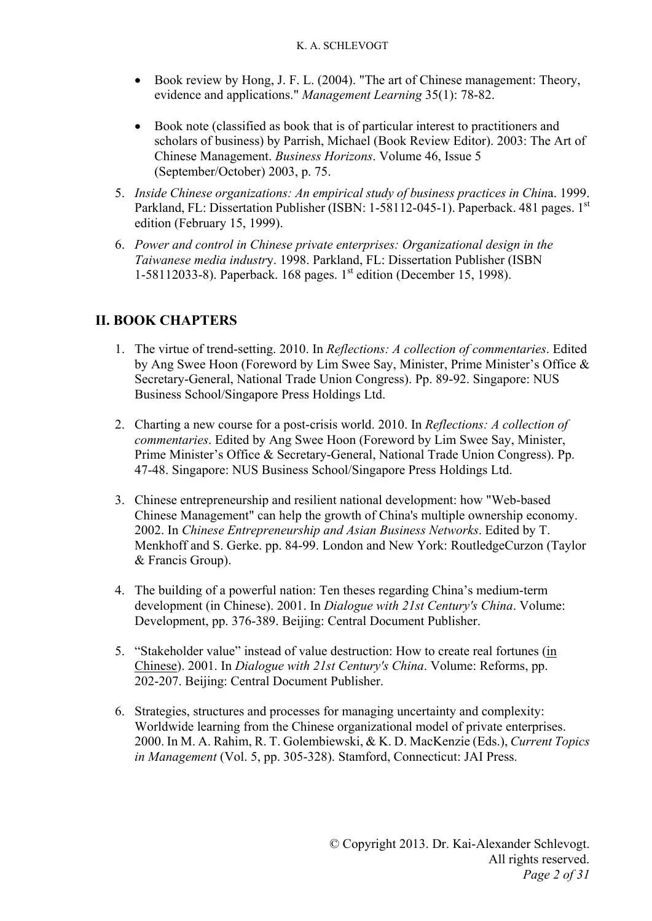- Book review by Hong, J. F. L. (2004). "The art of Chinese management: Theory, evidence and applications." *Management Learning* 35(1): 78-82.
- Book note (classified as book that is of particular interest to practitioners and scholars of business) by Parrish, Michael (Book Review Editor). 2003: The Art of Chinese Management. *Business Horizons*. Volume 46, Issue 5 (September/October) 2003, p. 75.
- 5. *Inside Chinese organizations: An empirical study of business practices in Chin*a. 1999. Parkland, FL: Dissertation Publisher (ISBN: 1-58112-045-1). Paperback. 481 pages. 1<sup>st</sup> edition (February 15, 1999).
- 6. *Power and control in Chinese private enterprises: Organizational design in the Taiwanese media industr*y. 1998. Parkland, FL: Dissertation Publisher (ISBN 1-58112033-8). Paperback. 168 pages. 1<sup>st</sup> edition (December 15, 1998).

# **II. BOOK CHAPTERS**

- 1. The virtue of trend-setting. 2010. In *Reflections: A collection of commentaries*. Edited by Ang Swee Hoon (Foreword by Lim Swee Say, Minister, Prime Minister's Office & Secretary-General, National Trade Union Congress). Pp. 89-92. Singapore: NUS Business School/Singapore Press Holdings Ltd.
- 2. Charting a new course for a post-crisis world. 2010. In *Reflections: A collection of commentaries*. Edited by Ang Swee Hoon (Foreword by Lim Swee Say, Minister, Prime Minister's Office & Secretary-General, National Trade Union Congress). Pp. 47-48. Singapore: NUS Business School/Singapore Press Holdings Ltd.
- 3. Chinese entrepreneurship and resilient national development: how "Web-based Chinese Management" can help the growth of China's multiple ownership economy. 2002. In *Chinese Entrepreneurship and Asian Business Networks*. Edited by T. Menkhoff and S. Gerke. pp. 84-99. London and New York: RoutledgeCurzon (Taylor & Francis Group).
- 4. The building of a powerful nation: Ten theses regarding China's medium-term development (in Chinese). 2001. In *Dialogue with 21st Century's China*. Volume: Development, pp. 376-389. Beijing: Central Document Publisher.
- 5. "Stakeholder value" instead of value destruction: How to create real fortunes (in Chinese). 2001. In *Dialogue with 21st Century's China*. Volume: Reforms, pp. 202-207. Beijing: Central Document Publisher.
- 6. Strategies, structures and processes for managing uncertainty and complexity: Worldwide learning from the Chinese organizational model of private enterprises. 2000. In M. A. Rahim, R. T. Golembiewski, & K. D. MacKenzie (Eds.), *Current Topics in Management* (Vol. 5, pp. 305-328). Stamford, Connecticut: JAI Press.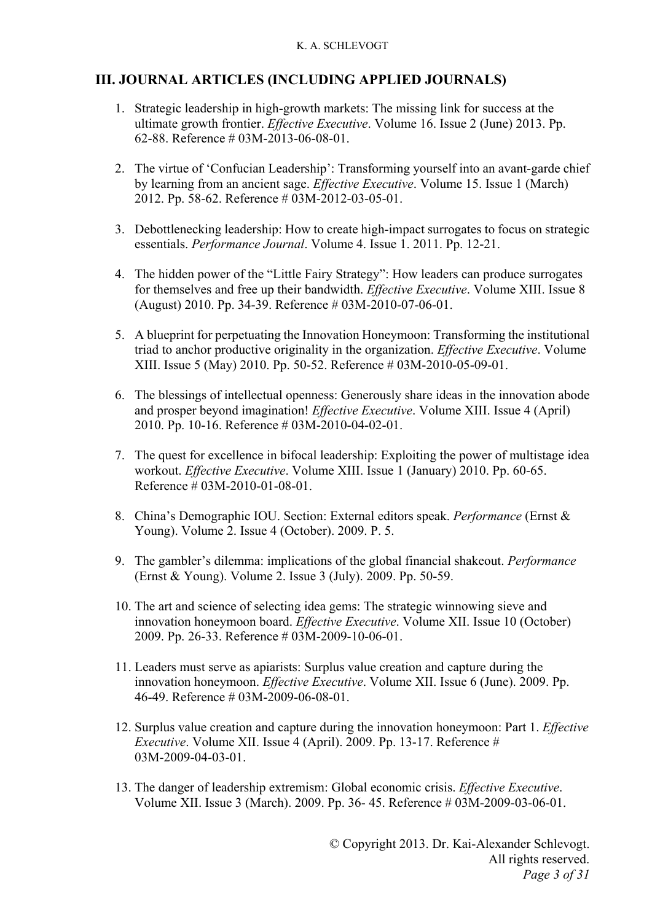### **III. JOURNAL ARTICLES (INCLUDING APPLIED JOURNALS)**

- 1. Strategic leadership in high-growth markets: The missing link for success at the ultimate growth frontier. *Effective Executive*. Volume 16. Issue 2 (June) 2013. Pp. 62-88. Reference # 03M-2013-06-08-01.
- 2. The virtue of 'Confucian Leadership': Transforming yourself into an avant-garde chief by learning from an ancient sage. *Effective Executive*. Volume 15. Issue 1 (March) 2012. Pp. 58-62. Reference # 03M-2012-03-05-01.
- 3. Debottlenecking leadership: How to create high-impact surrogates to focus on strategic essentials. *Performance Journal*. Volume 4. Issue 1. 2011. Pp. 12-21.
- 4. The hidden power of the "Little Fairy Strategy": How leaders can produce surrogates for themselves and free up their bandwidth. *Effective Executive*. Volume XIII. Issue 8 (August) 2010. Pp. 34-39. Reference # 03M-2010-07-06-01.
- 5. A blueprint for perpetuating the Innovation Honeymoon: Transforming the institutional triad to anchor productive originality in the organization. *Effective Executive*. Volume XIII. Issue 5 (May) 2010. Pp. 50-52. Reference # 03M-2010-05-09-01.
- 6. The blessings of intellectual openness: Generously share ideas in the innovation abode and prosper beyond imagination! *Effective Executive*. Volume XIII. Issue 4 (April) 2010. Pp. 10-16. Reference # 03M-2010-04-02-01.
- 7. The quest for excellence in bifocal leadership: Exploiting the power of multistage idea workout. *Effective Executive*. Volume XIII. Issue 1 (January) 2010. Pp. 60-65. Reference # 03M-2010-01-08-01.
- 8. China's Demographic IOU. Section: External editors speak. *Performance* (Ernst & Young). Volume 2. Issue 4 (October). 2009. P. 5.
- 9. The gambler's dilemma: implications of the global financial shakeout. *Performance* (Ernst & Young). Volume 2. Issue 3 (July). 2009. Pp. 50-59.
- 10. The art and science of selecting idea gems: The strategic winnowing sieve and innovation honeymoon board. *Effective Executive*. Volume XII. Issue 10 (October) 2009. Pp. 26-33. Reference # 03M-2009-10-06-01.
- 11. Leaders must serve as apiarists: Surplus value creation and capture during the innovation honeymoon. *Effective Executive*. Volume XII. Issue 6 (June). 2009. Pp. 46-49. Reference # 03M-2009-06-08-01.
- 12. Surplus value creation and capture during the innovation honeymoon: Part 1. *Effective Executive*. Volume XII. Issue 4 (April). 2009. Pp. 13-17. Reference # 03M-2009-04-03-01.
- 13. The danger of leadership extremism: Global economic crisis. *Effective Executive*. Volume XII. Issue 3 (March). 2009. Pp. 36- 45. Reference # 03M-2009-03-06-01.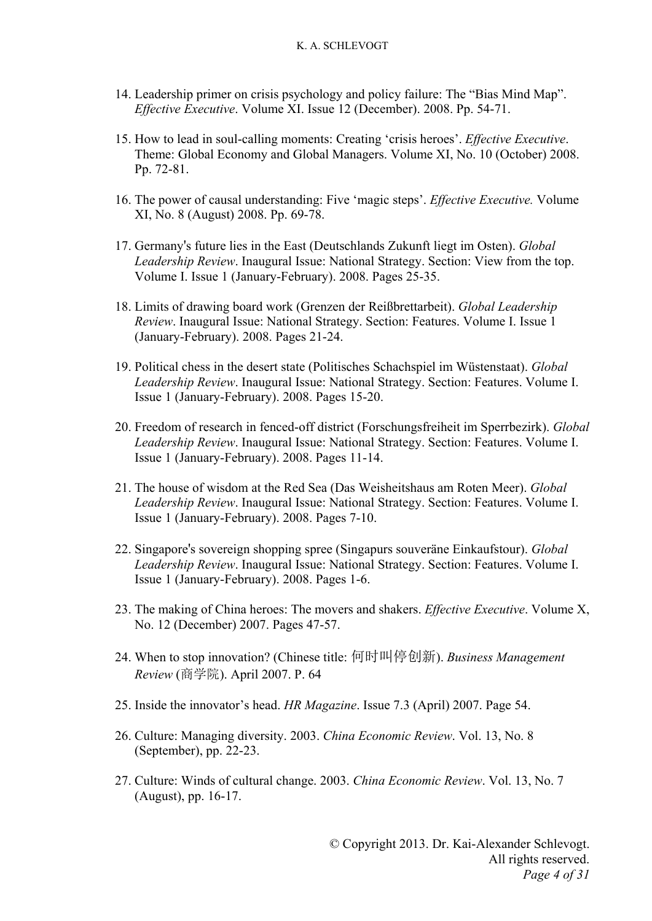- 14. Leadership primer on crisis psychology and policy failure: The "Bias Mind Map". *Effective Executive*. Volume XI. Issue 12 (December). 2008. Pp. 54-71.
- 15. How to lead in soul-calling moments: Creating 'crisis heroes'. *Effective Executive*. Theme: Global Economy and Global Managers. Volume XI, No. 10 (October) 2008. Pp. 72-81.
- 16. The power of causal understanding: Five 'magic steps'. *Effective Executive.* Volume XI, No. 8 (August) 2008. Pp. 69-78.
- 17. Germany's future lies in the East (Deutschlands Zukunft liegt im Osten). *Global Leadership Review*. Inaugural Issue: National Strategy. Section: View from the top. Volume I. Issue 1 (January-February). 2008. Pages 25-35.
- 18. Limits of drawing board work (Grenzen der Reißbrettarbeit). *Global Leadership Review*. Inaugural Issue: National Strategy. Section: Features. Volume I. Issue 1 (January-February). 2008. Pages 21-24.
- 19. Political chess in the desert state (Politisches Schachspiel im Wüstenstaat). *Global Leadership Review*. Inaugural Issue: National Strategy. Section: Features. Volume I. Issue 1 (January-February). 2008. Pages 15-20.
- 20. Freedom of research in fenced-off district (Forschungsfreiheit im Sperrbezirk). *Global Leadership Review*. Inaugural Issue: National Strategy. Section: Features. Volume I. Issue 1 (January-February). 2008. Pages 11-14.
- 21. The house of wisdom at the Red Sea (Das Weisheitshaus am Roten Meer). *Global Leadership Review*. Inaugural Issue: National Strategy. Section: Features. Volume I. Issue 1 (January-February). 2008. Pages 7-10.
- 22. Singapore's sovereign shopping spree (Singapurs souveräne Einkaufstour). *Global Leadership Review*. Inaugural Issue: National Strategy. Section: Features. Volume I. Issue 1 (January-February). 2008. Pages 1-6.
- 23. The making of China heroes: The movers and shakers. *Effective Executive*. Volume X, No. 12 (December) 2007. Pages 47-57.
- 24. When to stop innovation? (Chinese title: 何时叫停创新). *Business Management Review* (商学院). April 2007. P. 64
- 25. Inside the innovator's head. *HR Magazine*. Issue 7.3 (April) 2007. Page 54.
- 26. Culture: Managing diversity. 2003. *China Economic Review*. Vol. 13, No. 8 (September), pp. 22-23.
- 27. Culture: Winds of cultural change. 2003. *China Economic Review*. Vol. 13, No. 7 (August), pp. 16-17.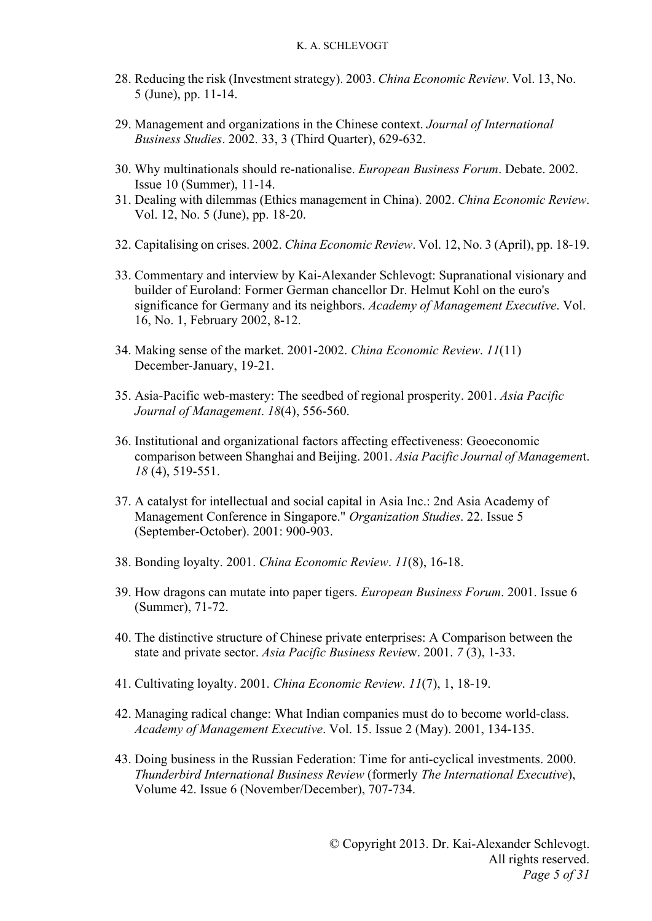- 28. Reducing the risk (Investment strategy). 2003. *China Economic Review*. Vol. 13, No. 5 (June), pp. 11-14.
- 29. Management and organizations in the Chinese context. *Journal of International Business Studies*. 2002. 33, 3 (Third Quarter), 629-632.
- 30. Why multinationals should re-nationalise. *European Business Forum*. Debate. 2002. Issue 10 (Summer), 11-14.
- 31. Dealing with dilemmas (Ethics management in China). 2002. *China Economic Review*. Vol. 12, No. 5 (June), pp. 18-20.
- 32. Capitalising on crises. 2002. *China Economic Review*. Vol. 12, No. 3 (April), pp. 18-19.
- 33. Commentary and interview by Kai-Alexander Schlevogt: Supranational visionary and builder of Euroland: Former German chancellor Dr. Helmut Kohl on the euro's significance for Germany and its neighbors. *Academy of Management Executive*. Vol. 16, No. 1, February 2002, 8-12.
- 34. Making sense of the market. 2001-2002. *China Economic Review*. *11*(11) December-January, 19-21.
- 35. Asia-Pacific web-mastery: The seedbed of regional prosperity. 2001. *Asia Pacific Journal of Management*. *18*(4), 556-560.
- 36. Institutional and organizational factors affecting effectiveness: Geoeconomic comparison between Shanghai and Beijing. 2001. *Asia Pacific Journal of Managemen*t. *18* (4), 519-551.
- 37. A catalyst for intellectual and social capital in Asia Inc.: 2nd Asia Academy of Management Conference in Singapore." *Organization Studies*. 22. Issue 5 (September-October). 2001: 900-903.
- 38. Bonding loyalty. 2001. *China Economic Review*. *11*(8), 16-18.
- 39. How dragons can mutate into paper tigers. *European Business Forum*. 2001. Issue 6 (Summer), 71-72.
- 40. The distinctive structure of Chinese private enterprises: A Comparison between the state and private sector. *Asia Pacific Business Revie*w. 2001. *7* (3), 1-33.
- 41. Cultivating loyalty. 2001. *China Economic Review*. *11*(7), 1, 18-19.
- 42. Managing radical change: What Indian companies must do to become world-class. *Academy of Management Executive*. Vol. 15. Issue 2 (May). 2001, 134-135.
- 43. Doing business in the Russian Federation: Time for anti-cyclical investments. 2000. *Thunderbird International Business Review* (formerly *The International Executive*), Volume 42. Issue 6 (November/December), 707-734.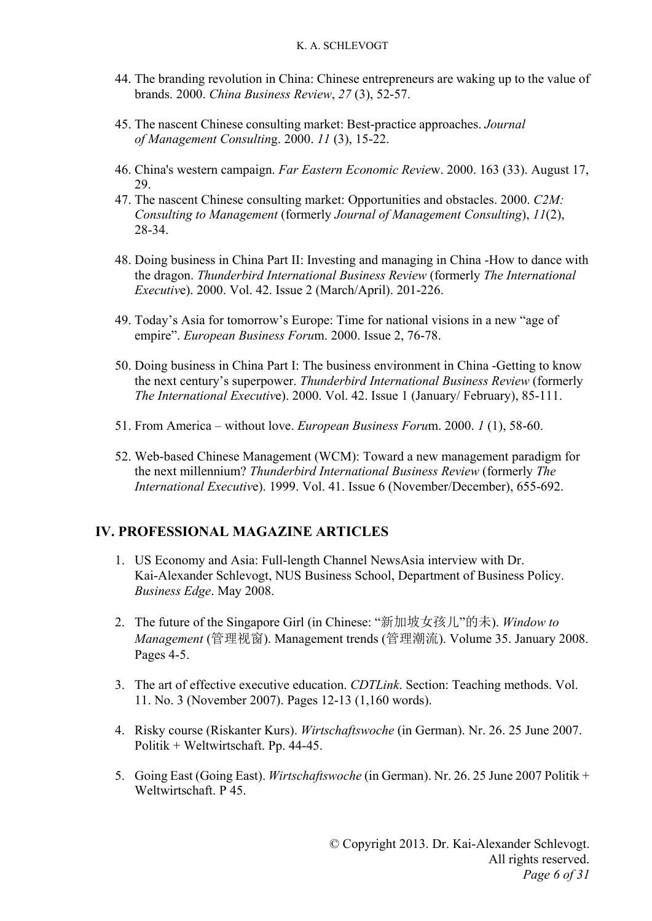- 44. The branding revolution in China: Chinese entrepreneurs are waking up to the value of brands. 2000. *China Business Review*, *27* (3), 52-57.
- 45. The nascent Chinese consulting market: Best-practice approaches. *Journal of Management Consultin*g. 2000. *11* (3), 15-22.
- 46. China's western campaign. *Far Eastern Economic Revie*w. 2000. 163 (33). August 17, 29.
- 47. The nascent Chinese consulting market: Opportunities and obstacles. 2000. *C2M: Consulting to Management* (formerly *Journal of Management Consulting*), *11*(2), 28-34.
- 48. Doing business in China Part II: Investing and managing in China -How to dance with the dragon. *Thunderbird International Business Review* (formerly *The International Executiv*e). 2000. Vol. 42. Issue 2 (March/April). 201-226.
- 49. Today's Asia for tomorrow's Europe: Time for national visions in a new "age of empire". *European Business Foru*m. 2000. Issue 2, 76-78.
- 50. Doing business in China Part I: The business environment in China -Getting to know the next century's superpower. *Thunderbird International Business Review* (formerly *The International Executiv*e). 2000. Vol. 42. Issue 1 (January/ February), 85-111.
- 51. From America without love. *European Business Foru*m. 2000. *1* (1), 58-60.
- 52. Web-based Chinese Management (WCM): Toward a new management paradigm for the next millennium? *Thunderbird International Business Review* (formerly *The International Executiv*e). 1999. Vol. 41. Issue 6 (November/December), 655-692.

### **IV. PROFESSIONAL MAGAZINE ARTICLES**

- 1. US Economy and Asia: Full-length Channel NewsAsia interview with Dr. Kai-Alexander Schlevogt, NUS Business School, Department of Business Policy. *Business Edge*. May 2008.
- 2. The future of the Singapore Girl (in Chinese: "新加坡女孩儿"的未). *Window to Management* (管理视窗). Management trends (管理潮流). Volume 35. January 2008. Pages 4-5.
- 3. The art of effective executive education. *CDTLink*. Section: Teaching methods. Vol. 11. No. 3 (November 2007). Pages 12-13 (1,160 words).
- 4. Risky course (Riskanter Kurs). *Wirtschaftswoche* (in German). Nr. 26. 25 June 2007. Politik + Weltwirtschaft. Pp. 44-45.
- 5. Going East (Going East). *Wirtschaftswoche* (in German). Nr. 26. 25 June 2007 Politik + Weltwirtschaft. P 45.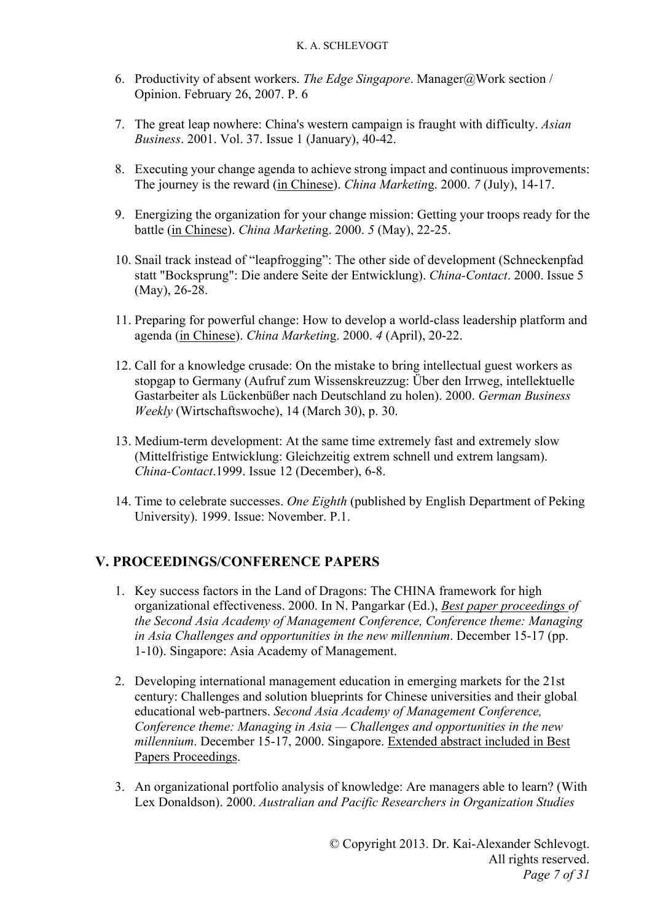- 6. Productivity of absent workers. *The Edge Singapore*. Manager@Work section / Opinion. February 26, 2007. P. 6
- 7. The great leap nowhere: China's western campaign is fraught with difficulty. *Asian Business*. 2001. Vol. 37. Issue 1 (January), 40-42.
- 8. Executing your change agenda to achieve strong impact and continuous improvements: The journey is the reward (in Chinese). *China Marketin*g. 2000. *7* (July), 14-17.
- 9. Energizing the organization for your change mission: Getting your troops ready for the battle (in Chinese). *China Marketin*g. 2000. *5* (May), 22-25.
- 10. Snail track instead of "leapfrogging": The other side of development (Schneckenpfad statt "Bocksprung": Die andere Seite der Entwicklung). *China-Contact*. 2000. Issue 5 (May), 26-28.
- 11. Preparing for powerful change: How to develop a world-class leadership platform and agenda (in Chinese). *China Marketin*g. 2000. *4* (April), 20-22.
- 12. Call for a knowledge crusade: On the mistake to bring intellectual guest workers as stopgap to Germany (Aufruf zum Wissenskreuzzug: Über den Irrweg, intellektuelle Gastarbeiter als Lückenbüßer nach Deutschland zu holen). 2000. *German Business Weekly* (Wirtschaftswoche), 14 (March 30), p. 30.
- 13. Medium-term development: At the same time extremely fast and extremely slow (Mittelfristige Entwicklung: Gleichzeitig extrem schnell und extrem langsam). *China-Contact*.1999. Issue 12 (December), 6-8.
- 14. Time to celebrate successes. *One Eighth* (published by English Department of Peking University). 1999. Issue: November. P.1.

### **V. PROCEEDINGS/CONFERENCE PAPERS**

- 1. Key success factors in the Land of Dragons: The CHINA framework for high organizational effectiveness. 2000. In N. Pangarkar (Ed.), *Best paper proceedings of the Second Asia Academy of Management Conference, Conference theme: Managing in Asia Challenges and opportunities in the new millennium*. December 15-17 (pp. 1-10). Singapore: Asia Academy of Management.
- 2. Developing international management education in emerging markets for the 21st century: Challenges and solution blueprints for Chinese universities and their global educational web-partners. *Second Asia Academy of Management Conference, Conference theme: Managing in Asia — Challenges and opportunities in the new millennium*. December 15-17, 2000. Singapore. Extended abstract included in Best Papers Proceedings.
- 3. An organizational portfolio analysis of knowledge: Are managers able to learn? (With Lex Donaldson). 2000. *Australian and Pacific Researchers in Organization Studies*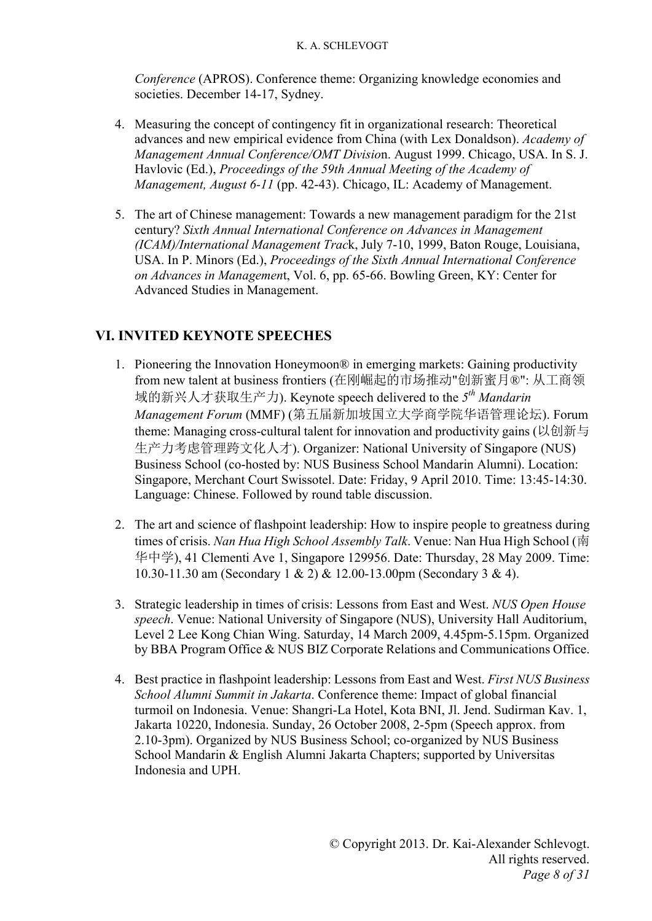*Conference* (APROS). Conference theme: Organizing knowledge economies and societies. December 14-17, Sydney.

- 4. Measuring the concept of contingency fit in organizational research: Theoretical advances and new empirical evidence from China (with Lex Donaldson). *Academy of Management Annual Conference/OMT Divisio*n. August 1999. Chicago, USA. In S. J. Havlovic (Ed.), *Proceedings of the 59th Annual Meeting of the Academy of Management, August 6-11* (pp. 42-43). Chicago, IL: Academy of Management.
- 5. The art of Chinese management: Towards a new management paradigm for the 21st century? *Sixth Annual International Conference on Advances in Management (ICAM)/International Management Trac*k, July 7-10, 1999, Baton Rouge, Louisiana, USA. In P. Minors (Ed.), *Proceedings of the Sixth Annual International Conference on Advances in Managemen*t, Vol. 6, pp. 65-66. Bowling Green, KY: Center for Advanced Studies in Management.

# **VI. INVITED KEYNOTE SPEECHES**

- 1. Pioneering the Innovation Honeymoon® in emerging markets: Gaining productivity from new talent at business frontiers (在刚崛起的市场推动"创新蜜月®": 从工商领 域的新兴人才获取生产力). Keynote speech delivered to the *5th Mandarin Management Forum* (MMF) (第五届新加坡国立大学商学院华语管理论坛). Forum theme: Managing cross-cultural talent for innovation and productivity gains (以创新与 生产力考虑管理跨文化人才). Organizer: National University of Singapore (NUS) Business School (co-hosted by: NUS Business School Mandarin Alumni). Location: Singapore, Merchant Court Swissotel. Date: Friday, 9 April 2010. Time: 13:45-14:30. Language: Chinese. Followed by round table discussion.
- 2. The art and science of flashpoint leadership: How to inspire people to greatness during times of crisis. *Nan Hua High School Assembly Talk*. Venue: Nan Hua High School (南 华中学), 41 Clementi Ave 1, Singapore 129956. Date: Thursday, 28 May 2009. Time: 10.30-11.30 am (Secondary 1 & 2) & 12.00-13.00pm (Secondary 3 & 4).
- 3. Strategic leadership in times of crisis: Lessons from East and West. *NUS Open House speech*. Venue: National University of Singapore (NUS), University Hall Auditorium, Level 2 Lee Kong Chian Wing. Saturday, 14 March 2009, 4.45pm-5.15pm. Organized by BBA Program Office & NUS BIZ Corporate Relations and Communications Office.
- 4. Best practice in flashpoint leadership: Lessons from East and West. *First NUS Business School Alumni Summit in Jakarta*. Conference theme: Impact of global financial turmoil on Indonesia. Venue: Shangri-La Hotel, Kota BNI, Jl. Jend. Sudirman Kav. 1, Jakarta 10220, Indonesia. Sunday, 26 October 2008, 2-5pm (Speech approx. from 2.10-3pm). Organized by NUS Business School; co-organized by NUS Business School Mandarin & English Alumni Jakarta Chapters; supported by Universitas Indonesia and UPH.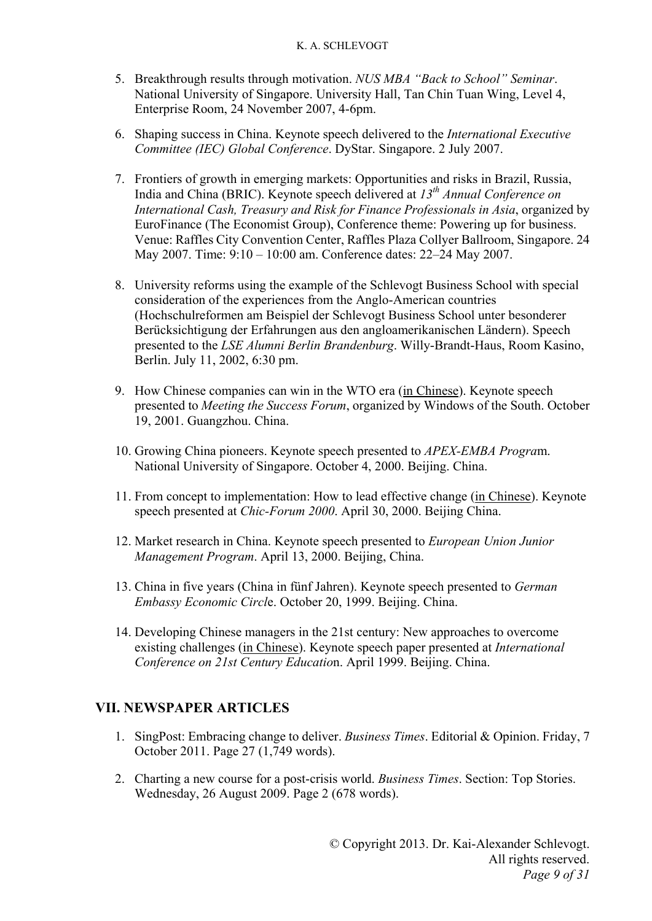- 5. Breakthrough results through motivation. *NUS MBA "Back to School" Seminar*. National University of Singapore. University Hall, Tan Chin Tuan Wing, Level 4, Enterprise Room, 24 November 2007, 4-6pm.
- 6. Shaping success in China. Keynote speech delivered to the *International Executive Committee (IEC) Global Conference*. DyStar. Singapore. 2 July 2007.
- 7. Frontiers of growth in emerging markets: Opportunities and risks in Brazil, Russia, India and China (BRIC). Keynote speech delivered at *13th Annual Conference on International Cash, Treasury and Risk for Finance Professionals in Asia*, organized by EuroFinance (The Economist Group), Conference theme: Powering up for business. Venue: Raffles City Convention Center, Raffles Plaza Collyer Ballroom, Singapore. 24 May 2007. Time: 9:10 – 10:00 am. Conference dates: 22–24 May 2007.
- 8. University reforms using the example of the Schlevogt Business School with special consideration of the experiences from the Anglo-American countries (Hochschulreformen am Beispiel der Schlevogt Business School unter besonderer Berücksichtigung der Erfahrungen aus den angloamerikanischen Ländern). Speech presented to the *LSE Alumni Berlin Brandenburg*. Willy-Brandt-Haus, Room Kasino, Berlin. July 11, 2002, 6:30 pm.
- 9. How Chinese companies can win in the WTO era (in Chinese). Keynote speech presented to *Meeting the Success Forum*, organized by Windows of the South. October 19, 2001. Guangzhou. China.
- 10. Growing China pioneers. Keynote speech presented to *APEX-EMBA Progra*m. National University of Singapore. October 4, 2000. Beijing. China.
- 11. From concept to implementation: How to lead effective change (in Chinese). Keynote speech presented at *Chic-Forum 2000*. April 30, 2000. Beijing China.
- 12. Market research in China. Keynote speech presented to *European Union Junior Management Program*. April 13, 2000. Beijing, China.
- 13. China in five years (China in fünf Jahren). Keynote speech presented to *German Embassy Economic Circl*e. October 20, 1999. Beijing. China.
- 14. Developing Chinese managers in the 21st century: New approaches to overcome existing challenges (in Chinese). Keynote speech paper presented at *International Conference on 21st Century Educatio*n. April 1999. Beijing. China.

### **VII. NEWSPAPER ARTICLES**

- 1. SingPost: Embracing change to deliver. *Business Times*. Editorial & Opinion. Friday, 7 October 2011. Page 27 (1,749 words).
- 2. Charting a new course for a post-crisis world. *Business Times*. Section: Top Stories. Wednesday, 26 August 2009. Page 2 (678 words).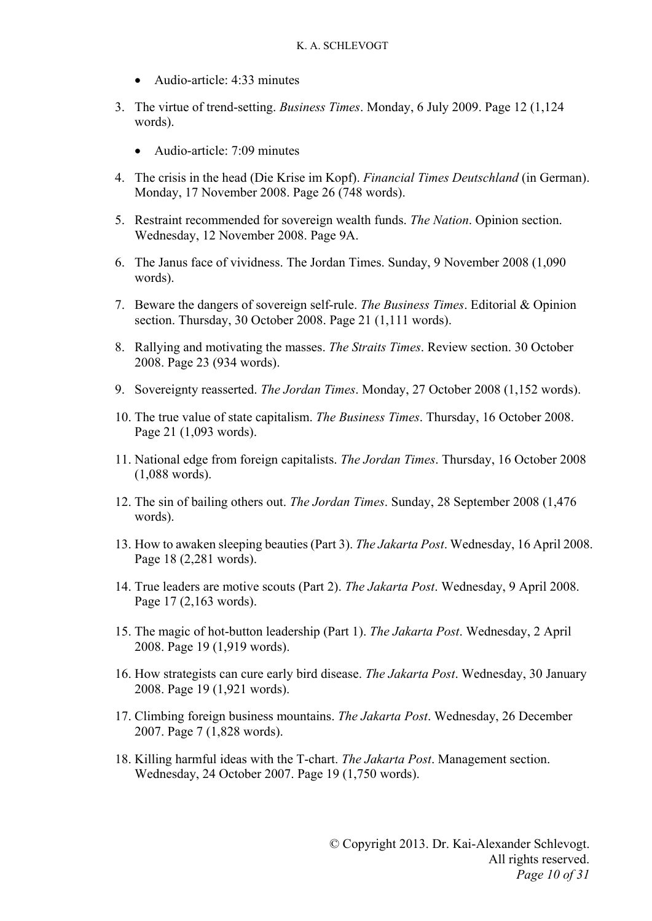- Audio-article: 4:33 minutes
- 3. The virtue of trend-setting. *Business Times*. Monday, 6 July 2009. Page 12 (1,124 words).
	- Audio-article: 7:09 minutes
- 4. The crisis in the head (Die Krise im Kopf). *Financial Times Deutschland* (in German). Monday, 17 November 2008. Page 26 (748 words).
- 5. Restraint recommended for sovereign wealth funds. *The Nation*. Opinion section. Wednesday, 12 November 2008. Page 9A.
- 6. The Janus face of vividness. The Jordan Times. Sunday, 9 November 2008 (1,090 words).
- 7. Beware the dangers of sovereign self-rule. *The Business Times*. Editorial & Opinion section. Thursday, 30 October 2008. Page 21 (1,111 words).
- 8. Rallying and motivating the masses. *The Straits Times*. Review section. 30 October 2008. Page 23 (934 words).
- 9. Sovereignty reasserted. *The Jordan Times*. Monday, 27 October 2008 (1,152 words).
- 10. The true value of state capitalism. *The Business Times*. Thursday, 16 October 2008. Page 21 (1,093 words).
- 11. National edge from foreign capitalists. *The Jordan Times*. Thursday, 16 October 2008 (1,088 words).
- 12. The sin of bailing others out. *The Jordan Times*. Sunday, 28 September 2008 (1,476 words).
- 13. How to awaken sleeping beauties (Part 3). *The Jakarta Post*. Wednesday, 16 April 2008. Page 18 (2,281 words).
- 14. True leaders are motive scouts (Part 2). *The Jakarta Post*. Wednesday, 9 April 2008. Page 17 (2,163 words).
- 15. The magic of hot-button leadership (Part 1). *The Jakarta Post*. Wednesday, 2 April 2008. Page 19 (1,919 words).
- 16. How strategists can cure early bird disease. *The Jakarta Post*. Wednesday, 30 January 2008. Page 19 (1,921 words).
- 17. Climbing foreign business mountains. *The Jakarta Post*. Wednesday, 26 December 2007. Page 7 (1,828 words).
- 18. Killing harmful ideas with the T-chart. *The Jakarta Post*. Management section. Wednesday, 24 October 2007. Page 19 (1,750 words).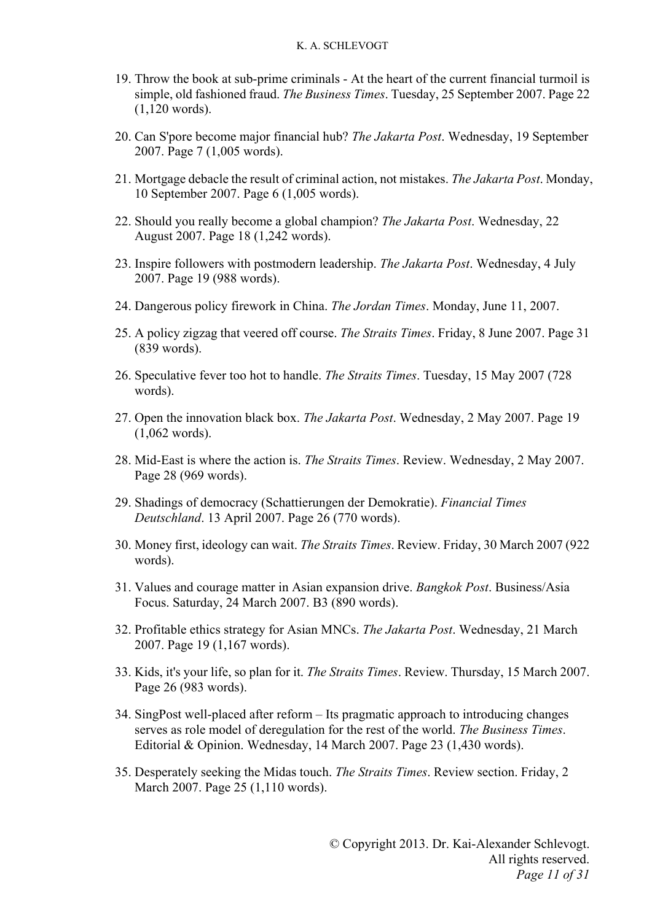- 19. Throw the book at sub-prime criminals At the heart of the current financial turmoil is simple, old fashioned fraud. *The Business Times*. Tuesday, 25 September 2007. Page 22 (1,120 words).
- 20. Can S'pore become major financial hub? *The Jakarta Post*. Wednesday, 19 September 2007. Page 7 (1,005 words).
- 21. Mortgage debacle the result of criminal action, not mistakes. *The Jakarta Post*. Monday, 10 September 2007. Page 6 (1,005 words).
- 22. Should you really become a global champion? *The Jakarta Post*. Wednesday, 22 August 2007. Page 18 (1,242 words).
- 23. Inspire followers with postmodern leadership. *The Jakarta Post*. Wednesday, 4 July 2007. Page 19 (988 words).
- 24. Dangerous policy firework in China. *The Jordan Times*. Monday, June 11, 2007.
- 25. A policy zigzag that veered off course. *The Straits Times*. Friday, 8 June 2007. Page 31 (839 words).
- 26. Speculative fever too hot to handle. *The Straits Times*. Tuesday, 15 May 2007 (728 words).
- 27. Open the innovation black box. *The Jakarta Post*. Wednesday, 2 May 2007. Page 19 (1,062 words).
- 28. Mid-East is where the action is. *The Straits Times*. Review. Wednesday, 2 May 2007. Page 28 (969 words).
- 29. Shadings of democracy (Schattierungen der Demokratie). *Financial Times Deutschland*. 13 April 2007. Page 26 (770 words).
- 30. Money first, ideology can wait. *The Straits Times*. Review. Friday, 30 March 2007 (922 words).
- 31. Values and courage matter in Asian expansion drive. *Bangkok Post*. Business/Asia Focus. Saturday, 24 March 2007. B3 (890 words).
- 32. Profitable ethics strategy for Asian MNCs. *The Jakarta Post*. Wednesday, 21 March 2007. Page 19 (1,167 words).
- 33. Kids, it's your life, so plan for it. *The Straits Times*. Review. Thursday, 15 March 2007. Page 26 (983 words).
- 34. SingPost well-placed after reform Its pragmatic approach to introducing changes serves as role model of deregulation for the rest of the world. *The Business Times*. Editorial & Opinion. Wednesday, 14 March 2007. Page 23 (1,430 words).
- 35. Desperately seeking the Midas touch. *The Straits Times*. Review section. Friday, 2 March 2007. Page 25 (1,110 words).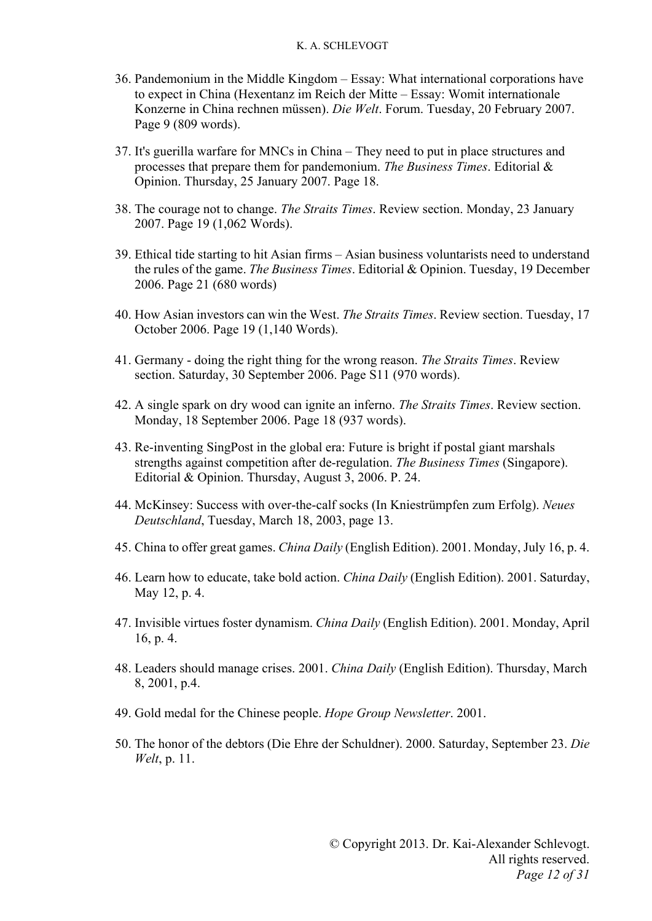- 36. Pandemonium in the Middle Kingdom Essay: What international corporations have to expect in China (Hexentanz im Reich der Mitte – Essay: Womit internationale Konzerne in China rechnen müssen). *Die Welt*. Forum. Tuesday, 20 February 2007. Page 9 (809 words).
- 37. It's guerilla warfare for MNCs in China They need to put in place structures and processes that prepare them for pandemonium. *The Business Times*. Editorial & Opinion. Thursday, 25 January 2007. Page 18.
- 38. The courage not to change. *The Straits Times*. Review section. Monday, 23 January 2007. Page 19 (1,062 Words).
- 39. Ethical tide starting to hit Asian firms Asian business voluntarists need to understand the rules of the game. *The Business Times*. Editorial & Opinion. Tuesday, 19 December 2006. Page 21 (680 words)
- 40. How Asian investors can win the West. *The Straits Times*. Review section. Tuesday, 17 October 2006. Page 19 (1,140 Words).
- 41. Germany doing the right thing for the wrong reason. *The Straits Times*. Review section. Saturday, 30 September 2006. Page S11 (970 words).
- 42. A single spark on dry wood can ignite an inferno. *The Straits Times*. Review section. Monday, 18 September 2006. Page 18 (937 words).
- 43. Re-inventing SingPost in the global era: Future is bright if postal giant marshals strengths against competition after de-regulation. *The Business Times* (Singapore). Editorial & Opinion. Thursday, August 3, 2006. P. 24.
- 44. McKinsey: Success with over-the-calf socks (In Kniestrümpfen zum Erfolg). *Neues Deutschland*, Tuesday, March 18, 2003, page 13.
- 45. China to offer great games. *China Daily* (English Edition). 2001. Monday, July 16, p. 4.
- 46. Learn how to educate, take bold action. *China Daily* (English Edition). 2001. Saturday, May 12, p. 4.
- 47. Invisible virtues foster dynamism. *China Daily* (English Edition). 2001. Monday, April 16, p. 4.
- 48. Leaders should manage crises. 2001. *China Daily* (English Edition). Thursday, March 8, 2001, p.4.
- 49. Gold medal for the Chinese people. *Hope Group Newsletter*. 2001.
- 50. The honor of the debtors (Die Ehre der Schuldner). 2000. Saturday, September 23. *Die Welt*, p. 11.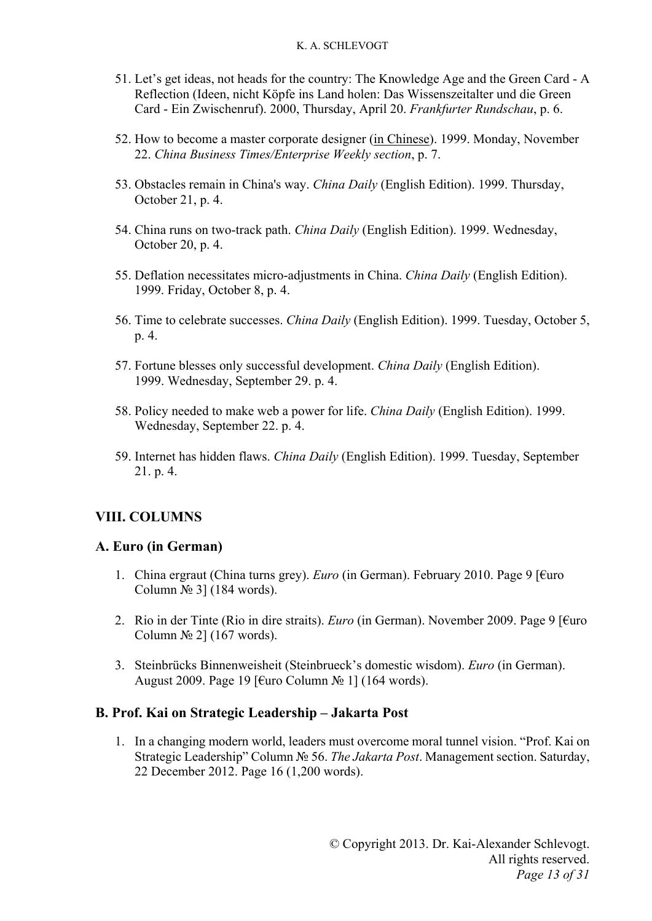- 51. Let's get ideas, not heads for the country: The Knowledge Age and the Green Card A Reflection (Ideen, nicht Köpfe ins Land holen: Das Wissenszeitalter und die Green Card - Ein Zwischenruf). 2000, Thursday, April 20. *Frankfurter Rundschau*, p. 6.
- 52. How to become a master corporate designer (in Chinese). 1999. Monday, November 22. *China Business Times/Enterprise Weekly section*, p. 7.
- 53. Obstacles remain in China's way. *China Daily* (English Edition). 1999. Thursday, October 21, p. 4.
- 54. China runs on two-track path. *China Daily* (English Edition). 1999. Wednesday, October 20, p. 4.
- 55. Deflation necessitates micro-adjustments in China. *China Daily* (English Edition). 1999. Friday, October 8, p. 4.
- 56. Time to celebrate successes. *China Daily* (English Edition). 1999. Tuesday, October 5, p. 4.
- 57. Fortune blesses only successful development. *China Daily* (English Edition). 1999. Wednesday, September 29. p. 4.
- 58. Policy needed to make web a power for life. *China Daily* (English Edition). 1999. Wednesday, September 22. p. 4.
- 59. Internet has hidden flaws. *China Daily* (English Edition). 1999. Tuesday, September 21. p. 4.

### **VIII. COLUMNS**

### **A. Euro (in German)**

- 1. China ergraut (China turns grey). *Euro* (in German). February 2010. Page 9 [€uro Column  $\mathbb{N}^{\circ}$  3] (184 words).
- 2. Rio in der Tinte (Rio in dire straits). *Euro* (in German). November 2009. Page 9 [€uro Column  $\mathcal{N}$ <sup>o</sup> 2] (167 words).
- 3. Steinbrücks Binnenweisheit (Steinbrueck's domestic wisdom). *Euro* (in German). August 2009. Page 19 [€uro Column № 1] (164 words).

### **B. Prof. Kai on Strategic Leadership – Jakarta Post**

1. In a changing modern world, leaders must overcome moral tunnel vision. "Prof. Kai on Strategic Leadership" Column № 56. *The Jakarta Post*. Management section. Saturday, 22 December 2012. Page 16 (1,200 words).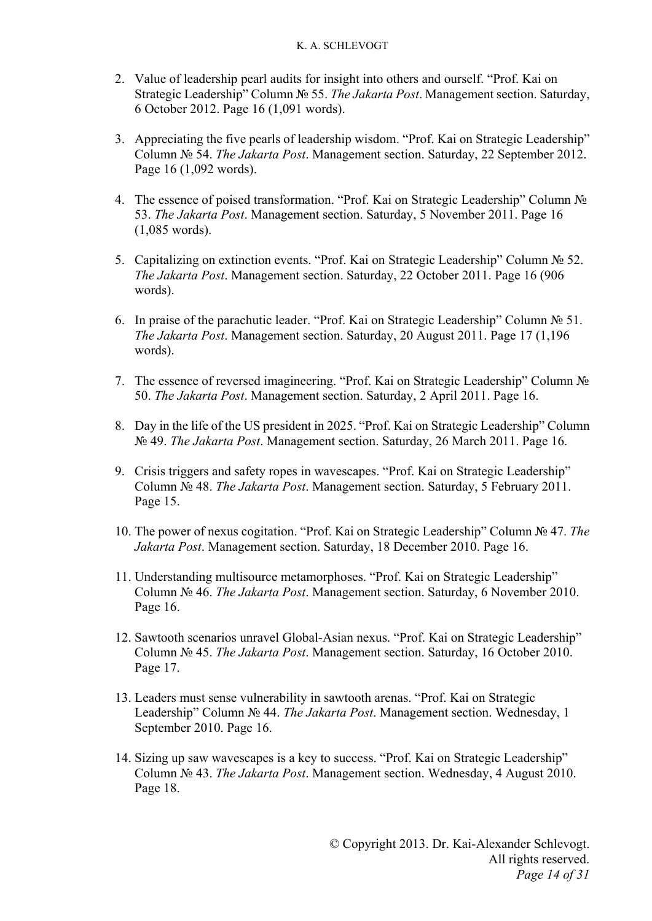- 2. Value of leadership pearl audits for insight into others and ourself. "Prof. Kai on Strategic Leadership" Column № 55. *The Jakarta Post*. Management section. Saturday, 6 October 2012. Page 16 (1,091 words).
- 3. Appreciating the five pearls of leadership wisdom. "Prof. Kai on Strategic Leadership" Column № 54. *The Jakarta Post*. Management section. Saturday, 22 September 2012. Page 16 (1,092 words).
- 4. The essence of poised transformation. "Prof. Kai on Strategic Leadership" Column № 53. *The Jakarta Post*. Management section. Saturday, 5 November 2011. Page 16 (1,085 words).
- 5. Capitalizing on extinction events. "Prof. Kai on Strategic Leadership" Column № 52. *The Jakarta Post*. Management section. Saturday, 22 October 2011. Page 16 (906 words).
- 6. In praise of the parachutic leader. "Prof. Kai on Strategic Leadership" Column № 51. *The Jakarta Post*. Management section. Saturday, 20 August 2011. Page 17 (1,196 words).
- 7. The essence of reversed imagineering. "Prof. Kai on Strategic Leadership" Column № 50. *The Jakarta Post*. Management section. Saturday, 2 April 2011. Page 16.
- 8. Day in the life of the US president in 2025. "Prof. Kai on Strategic Leadership" Column № 49. *The Jakarta Post*. Management section. Saturday, 26 March 2011. Page 16.
- 9. Crisis triggers and safety ropes in wavescapes. "Prof. Kai on Strategic Leadership" Column № 48. *The Jakarta Post*. Management section. Saturday, 5 February 2011. Page 15.
- 10. The power of nexus cogitation. "Prof. Kai on Strategic Leadership" Column № 47. *The Jakarta Post*. Management section. Saturday, 18 December 2010. Page 16.
- 11. Understanding multisource metamorphoses. "Prof. Kai on Strategic Leadership" Column № 46. *The Jakarta Post*. Management section. Saturday, 6 November 2010. Page 16.
- 12. Sawtooth scenarios unravel Global-Asian nexus. "Prof. Kai on Strategic Leadership" Column № 45. *The Jakarta Post*. Management section. Saturday, 16 October 2010. Page 17.
- 13. Leaders must sense vulnerability in sawtooth arenas. "Prof. Kai on Strategic Leadership" Column № 44. *The Jakarta Post*. Management section. Wednesday, 1 September 2010. Page 16.
- 14. Sizing up saw wavescapes is a key to success. "Prof. Kai on Strategic Leadership" Column № 43. *The Jakarta Post*. Management section. Wednesday, 4 August 2010. Page 18.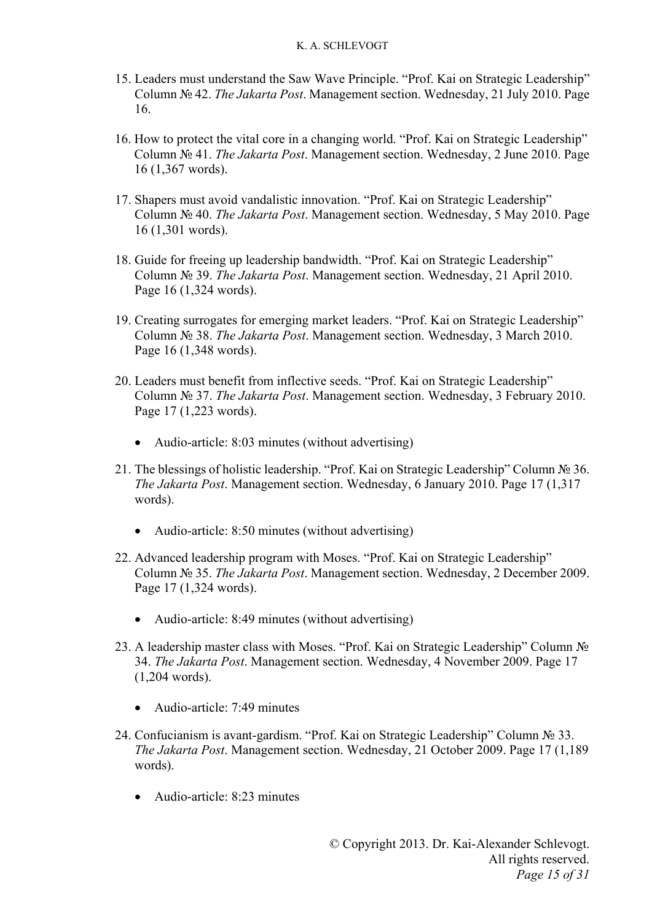- 15. Leaders must understand the Saw Wave Principle. "Prof. Kai on Strategic Leadership" Column № 42. *The Jakarta Post*. Management section. Wednesday, 21 July 2010. Page 16.
- 16. How to protect the vital core in a changing world. "Prof. Kai on Strategic Leadership" Column № 41. *The Jakarta Post*. Management section. Wednesday, 2 June 2010. Page 16 (1,367 words).
- 17. Shapers must avoid vandalistic innovation. "Prof. Kai on Strategic Leadership" Column № 40. *The Jakarta Post*. Management section. Wednesday, 5 May 2010. Page 16 (1,301 words).
- 18. Guide for freeing up leadership bandwidth. "Prof. Kai on Strategic Leadership" Column № 39. *The Jakarta Post*. Management section. Wednesday, 21 April 2010. Page 16 (1,324 words).
- 19. Creating surrogates for emerging market leaders. "Prof. Kai on Strategic Leadership" Column № 38. *The Jakarta Post*. Management section. Wednesday, 3 March 2010. Page 16 (1,348 words).
- 20. Leaders must benefit from inflective seeds. "Prof. Kai on Strategic Leadership" Column № 37. *The Jakarta Post*. Management section. Wednesday, 3 February 2010. Page 17 (1,223 words).
	- Audio-article: 8:03 minutes (without advertising)
- 21. The blessings of holistic leadership. "Prof. Kai on Strategic Leadership" Column № 36. *The Jakarta Post*. Management section. Wednesday, 6 January 2010. Page 17 (1,317 words).
	- Audio-article: 8:50 minutes (without advertising)
- 22. Advanced leadership program with Moses. "Prof. Kai on Strategic Leadership" Column № 35. *The Jakarta Post*. Management section. Wednesday, 2 December 2009. Page 17 (1,324 words).
	- Audio-article: 8:49 minutes (without advertising)
- 23. A leadership master class with Moses. "Prof. Kai on Strategic Leadership" Column № 34. *The Jakarta Post*. Management section. Wednesday, 4 November 2009. Page 17 (1,204 words).
	- Audio-article: 7:49 minutes
- 24. Confucianism is avant-gardism. "Prof. Kai on Strategic Leadership" Column № 33. *The Jakarta Post*. Management section. Wednesday, 21 October 2009. Page 17 (1,189 words).
	- Audio-article: 8:23 minutes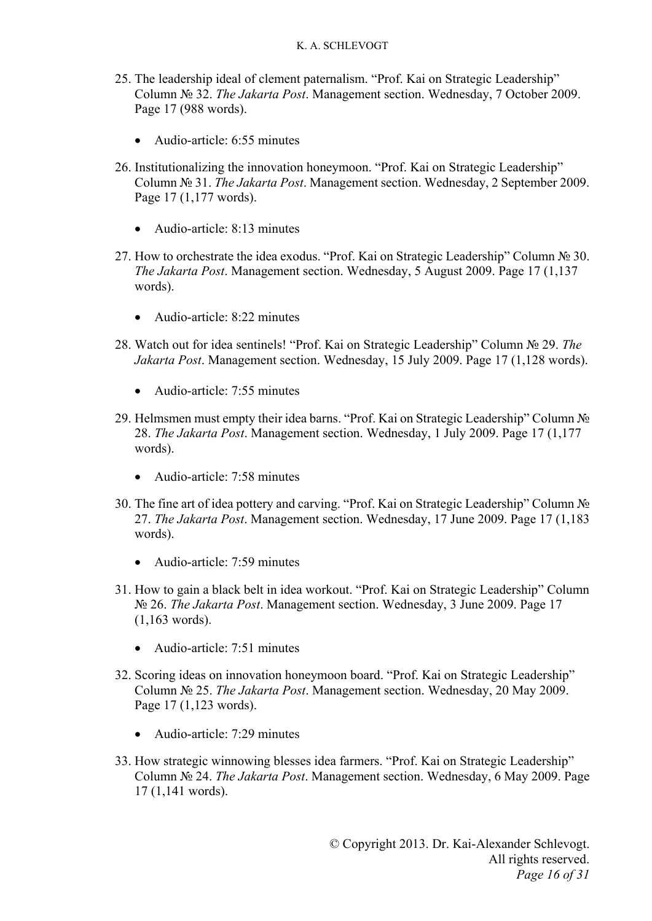- 25. The leadership ideal of clement paternalism. "Prof. Kai on Strategic Leadership" Column № 32. *The Jakarta Post*. Management section. Wednesday, 7 October 2009. Page 17 (988 words).
	- Audio-article: 6:55 minutes
- 26. Institutionalizing the innovation honeymoon. "Prof. Kai on Strategic Leadership" Column № 31. *The Jakarta Post*. Management section. Wednesday, 2 September 2009. Page 17 (1,177 words).
	- Audio-article: 8:13 minutes
- 27. How to orchestrate the idea exodus. "Prof. Kai on Strategic Leadership" Column № 30. *The Jakarta Post*. Management section. Wednesday, 5 August 2009. Page 17 (1,137 words).
	- Audio-article: 8:22 minutes
- 28. Watch out for idea sentinels! "Prof. Kai on Strategic Leadership" Column № 29. *The Jakarta Post*. Management section. Wednesday, 15 July 2009. Page 17 (1,128 words).
	- Audio-article: 7:55 minutes
- 29. Helmsmen must empty their idea barns. "Prof. Kai on Strategic Leadership" Column № 28. *The Jakarta Post*. Management section. Wednesday, 1 July 2009. Page 17 (1,177 words).
	- Audio-article: 7:58 minutes
- 30. The fine art of idea pottery and carving. "Prof. Kai on Strategic Leadership" Column № 27. *The Jakarta Post*. Management section. Wednesday, 17 June 2009. Page 17 (1,183 words).
	- Audio-article: 7:59 minutes
- 31. How to gain a black belt in idea workout. "Prof. Kai on Strategic Leadership" Column № 26. *The Jakarta Post*. Management section. Wednesday, 3 June 2009. Page 17 (1,163 words).
	- Audio-article: 7:51 minutes
- 32. Scoring ideas on innovation honeymoon board. "Prof. Kai on Strategic Leadership" Column № 25. *The Jakarta Post*. Management section. Wednesday, 20 May 2009. Page 17 (1,123 words).
	- Audio-article: 7:29 minutes
- 33. How strategic winnowing blesses idea farmers. "Prof. Kai on Strategic Leadership" Column № 24. *The Jakarta Post*. Management section. Wednesday, 6 May 2009. Page 17 (1,141 words).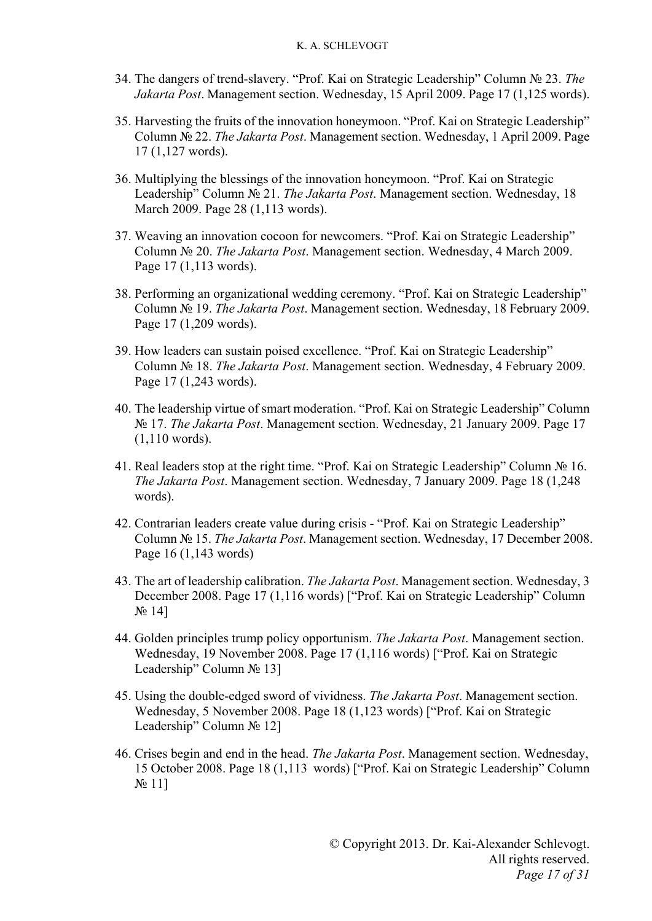- 34. The dangers of trend-slavery. "Prof. Kai on Strategic Leadership" Column № 23. *The Jakarta Post*. Management section. Wednesday, 15 April 2009. Page 17 (1,125 words).
- 35. Harvesting the fruits of the innovation honeymoon. "Prof. Kai on Strategic Leadership" Column № 22. *The Jakarta Post*. Management section. Wednesday, 1 April 2009. Page 17 (1,127 words).
- 36. Multiplying the blessings of the innovation honeymoon. "Prof. Kai on Strategic Leadership" Column № 21. *The Jakarta Post*. Management section. Wednesday, 18 March 2009. Page 28 (1,113 words).
- 37. Weaving an innovation cocoon for newcomers. "Prof. Kai on Strategic Leadership" Column № 20. *The Jakarta Post*. Management section. Wednesday, 4 March 2009. Page 17 (1,113 words).
- 38. Performing an organizational wedding ceremony. "Prof. Kai on Strategic Leadership" Column № 19. *The Jakarta Post*. Management section. Wednesday, 18 February 2009. Page 17 (1,209 words).
- 39. How leaders can sustain poised excellence. "Prof. Kai on Strategic Leadership" Column № 18. *The Jakarta Post*. Management section. Wednesday, 4 February 2009. Page 17 (1,243 words).
- 40. The leadership virtue of smart moderation. "Prof. Kai on Strategic Leadership" Column № 17. *The Jakarta Post*. Management section. Wednesday, 21 January 2009. Page 17 (1,110 words).
- 41. Real leaders stop at the right time. "Prof. Kai on Strategic Leadership" Column № 16. *The Jakarta Post*. Management section. Wednesday, 7 January 2009. Page 18 (1,248 words).
- 42. Contrarian leaders create value during crisis "Prof. Kai on Strategic Leadership" Column № 15. *The Jakarta Post*. Management section. Wednesday, 17 December 2008. Page 16 (1,143 words)
- 43. The art of leadership calibration. *The Jakarta Post*. Management section. Wednesday, 3 December 2008. Page 17 (1,116 words) ["Prof. Kai on Strategic Leadership" Column  $N_2$  14]
- 44. Golden principles trump policy opportunism. *The Jakarta Post*. Management section. Wednesday, 19 November 2008. Page 17 (1,116 words) ["Prof. Kai on Strategic Leadership" Column № 13]
- 45. Using the double-edged sword of vividness. *The Jakarta Post*. Management section. Wednesday, 5 November 2008. Page 18 (1,123 words) ["Prof. Kai on Strategic Leadership" Column № 12]
- 46. Crises begin and end in the head. *The Jakarta Post*. Management section. Wednesday, 15 October 2008. Page 18 (1,113 words) ["Prof. Kai on Strategic Leadership" Column N<sub>o</sub> 11]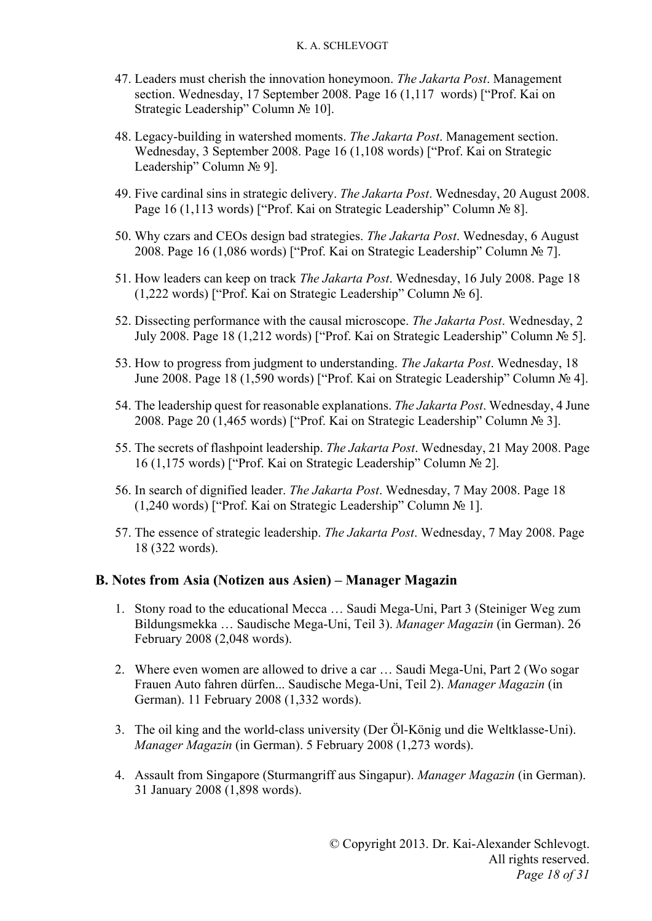- 47. Leaders must cherish the innovation honeymoon. *The Jakarta Post*. Management section. Wednesday, 17 September 2008. Page 16 (1,117 words) ["Prof. Kai on Strategic Leadership" Column № 10].
- 48. Legacy-building in watershed moments. *The Jakarta Post*. Management section. Wednesday, 3 September 2008. Page 16 (1,108 words) ["Prof. Kai on Strategic Leadership" Column № 9].
- 49. Five cardinal sins in strategic delivery. *The Jakarta Post*. Wednesday, 20 August 2008. Page 16 (1,113 words) ["Prof. Kai on Strategic Leadership" Column № 8].
- 50. Why czars and CEOs design bad strategies. *The Jakarta Post*. Wednesday, 6 August 2008. Page 16 (1,086 words) ["Prof. Kai on Strategic Leadership" Column № 7].
- 51. How leaders can keep on track *The Jakarta Post*. Wednesday, 16 July 2008. Page 18 (1,222 words) ["Prof. Kai on Strategic Leadership" Column № 6].
- 52. Dissecting performance with the causal microscope. *The Jakarta Post*. Wednesday, 2 July 2008. Page 18 (1,212 words) ["Prof. Kai on Strategic Leadership" Column № 5].
- 53. How to progress from judgment to understanding. *The Jakarta Post*. Wednesday, 18 June 2008. Page 18 (1,590 words) ["Prof. Kai on Strategic Leadership" Column № 4].
- 54. The leadership quest for reasonable explanations. *The Jakarta Post*. Wednesday, 4 June 2008. Page 20 (1,465 words) ["Prof. Kai on Strategic Leadership" Column № 3].
- 55. The secrets of flashpoint leadership. *The Jakarta Post*. Wednesday, 21 May 2008. Page 16 (1,175 words) ["Prof. Kai on Strategic Leadership" Column № 2].
- 56. In search of dignified leader. *The Jakarta Post*. Wednesday, 7 May 2008. Page 18 (1,240 words) ["Prof. Kai on Strategic Leadership" Column № 1].
- 57. The essence of strategic leadership. *The Jakarta Post*. Wednesday, 7 May 2008. Page 18 (322 words).

### **B. Notes from Asia (Notizen aus Asien) – Manager Magazin**

- 1. Stony road to the educational Mecca … Saudi Mega-Uni, Part 3 (Steiniger Weg zum Bildungsmekka … Saudische Mega-Uni, Teil 3). *Manager Magazin* (in German). 26 February 2008 (2,048 words).
- 2. Where even women are allowed to drive a car … Saudi Mega-Uni, Part 2 (Wo sogar Frauen Auto fahren dürfen... Saudische Mega-Uni, Teil 2). *Manager Magazin* (in German). 11 February 2008 (1,332 words).
- 3. The oil king and the world-class university (Der Öl-König und die Weltklasse-Uni). *Manager Magazin* (in German). 5 February 2008 (1,273 words).
- 4. Assault from Singapore (Sturmangriff aus Singapur). *Manager Magazin* (in German). 31 January 2008 (1,898 words).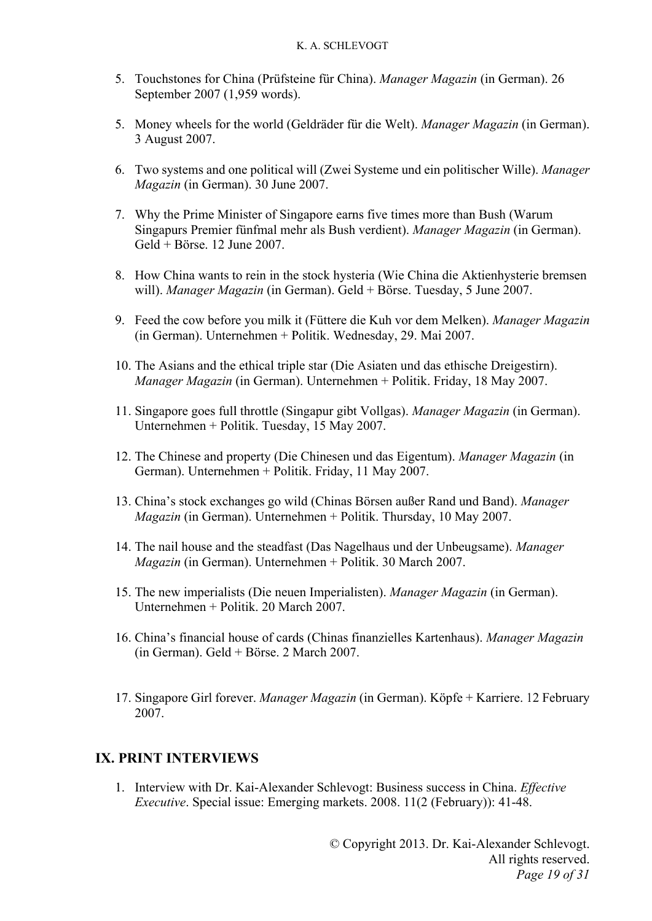- 5. Touchstones for China (Prüfsteine für China). Manager Magazin (in German). 26 September 2007 (1,959 words).
- 5. Money wheels for the world (Geldräder für die Welt). *Manager Magazin* (in German). 3 August 2007.
- 6. Two systems and one political will (Zwei Systeme und ein politischer Wille). Manager *Magazin* (in German). 30 June 2007.
- 7. Why the Prime Minister of Singapore earns five times more than Bush (Warum Singapurs Premier fünfmal mehr als Bush verdient). Manager Magazin (in German). Geld + Börse. 12 June 2007.
- 8. How China wants to rein in the stock hysteria (Wie China die Aktienhysterie bremsen will). Manager Magazin (in German). Geld + Börse. Tuesday, 5 June 2007.
- 9. Feed the cow before you milk it (Füttere die Kuh vor dem Melken). *Manager Magazin* (in German). Unternehmen + Politik. Wednesday, 29. Mai 2007.
- 10. The Asians and the ethical triple star (Die Asiaten und das ethische Dreigestirn). Manager Magazin (in German). Unternehmen + Politik. Friday, 18 May 2007.
- 11. Singapore goes full throttle (Singapur gibt Vollgas). Manager Magazin (in German). Unternehmen + Politik. Tuesday, 15 May 2007.
- 12. The Chinese and property (Die Chinesen und das Eigentum). *Manager Magazin* (in German). Unternehmen + Politik. Friday, 11 May 2007.
- 13. China's stock exchanges go wild (Chinas Börsen außer Rand und Band). *Manager Magazin* (in German). Unternehmen + Politik. Thursday, 10 May 2007.
- 14. The nail house and the steadfast (Das Nagelhaus und der Unbeugsame). Manager *Magazin* (in German). Unternehmen + Politik. 30 March 2007.
- 15. The new imperialists (Die neuen Imperialisten). *Manager Magazin* (in German). Unternehmen + Politik. 20 March 2007.
- 16. China's financial house of cards (Chinas finanzielles Kartenhaus). *Manager Magazin* (in German). Geld + Börse. 2 March 2007.
- 17. Singapore Girl forever. *Manager Magazin* (in German). Köpfe + Karriere. 12 February 2007.

### **IX. PRINT INTERVIEWS**

1. Interview with Dr. Kai-Alexander Schlevogt: Business success in China. *Effective Executive*. Special issue: Emerging markets. 2008. 11(2 (February)): 41-48.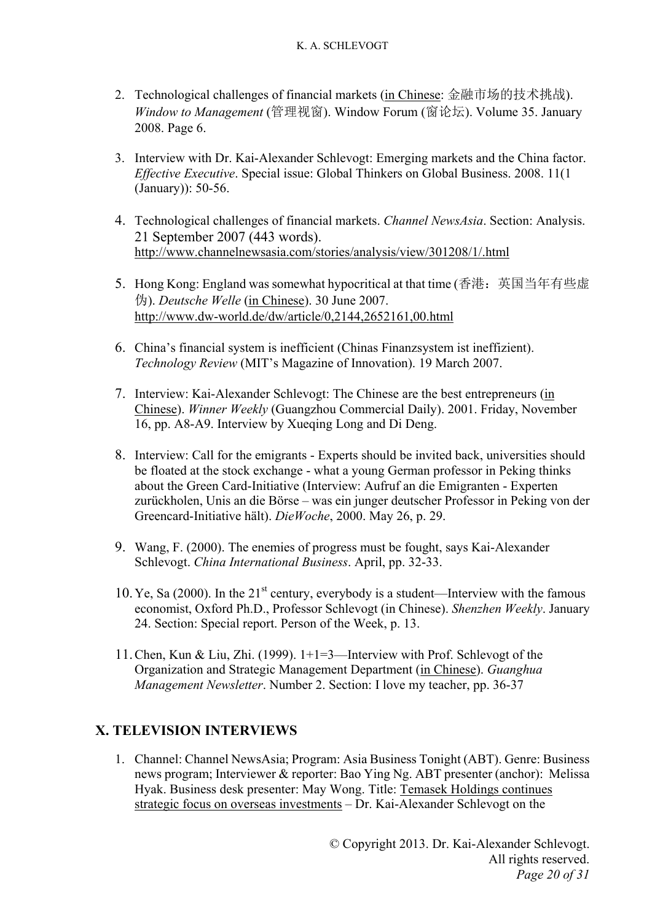- 2. Technological challenges of financial markets (in Chinese: 金融市场的技术挑战). *Window to Management* (管理视窗). Window Forum (窗论坛). Volume 35. January 2008. Page 6.
- 3. Interview with Dr. Kai-Alexander Schlevogt: Emerging markets and the China factor. *Effective Executive*. Special issue: Global Thinkers on Global Business. 2008. 11(1 (January)): 50-56.
- 4. Technological challenges of financial markets. *Channel NewsAsia*. Section: Analysis. 21 September 2007 (443 words). http://www.channelnewsasia.com/stories/analysis/view/301208/1/.html
- 5. Hong Kong: England was somewhat hypocritical at that time (香港:英国当年有些虚 伪). *Deutsche Welle* (in Chinese). 30 June 2007. http://www.dw-world.de/dw/article/0,2144,2652161,00.html
- 6. China's financial system is inefficient (Chinas Finanzsystem ist ineffizient). *Technology Review* (MIT's Magazine of Innovation). 19 March 2007.
- 7. Interview: Kai-Alexander Schlevogt: The Chinese are the best entrepreneurs (in Chinese). *Winner Weekly* (Guangzhou Commercial Daily). 2001. Friday, November 16, pp. A8-A9. Interview by Xueqing Long and Di Deng.
- 8. Interview: Call for the emigrants Experts should be invited back, universities should be floated at the stock exchange - what a young German professor in Peking thinks about the Green Card-Initiative (Interview: Aufruf an die Emigranten - Experten zurückholen, Unis an die Börse – was ein junger deutscher Professor in Peking von der Greencard-Initiative hält). *DieWoche*, 2000. May 26, p. 29.
- 9. Wang, F. (2000). The enemies of progress must be fought, says Kai-Alexander Schlevogt. *China International Business*. April, pp. 32-33.
- 10. Ye, Sa (2000). In the  $21<sup>st</sup>$  century, everybody is a student—Interview with the famous economist, Oxford Ph.D., Professor Schlevogt (in Chinese). *Shenzhen Weekly*. January 24. Section: Special report. Person of the Week, p. 13.
- 11.Chen, Kun & Liu, Zhi. (1999). 1+1=3—Interview with Prof. Schlevogt of the Organization and Strategic Management Department (in Chinese). *Guanghua Management Newsletter*. Number 2. Section: I love my teacher, pp. 36-37

# **X. TELEVISION INTERVIEWS**

1. Channel: Channel NewsAsia; Program: Asia Business Tonight (ABT). Genre: Business news program; Interviewer & reporter: Bao Ying Ng. ABT presenter (anchor): Melissa Hyak. Business desk presenter: May Wong. Title: Temasek Holdings continues strategic focus on overseas investments – Dr. Kai-Alexander Schlevogt on the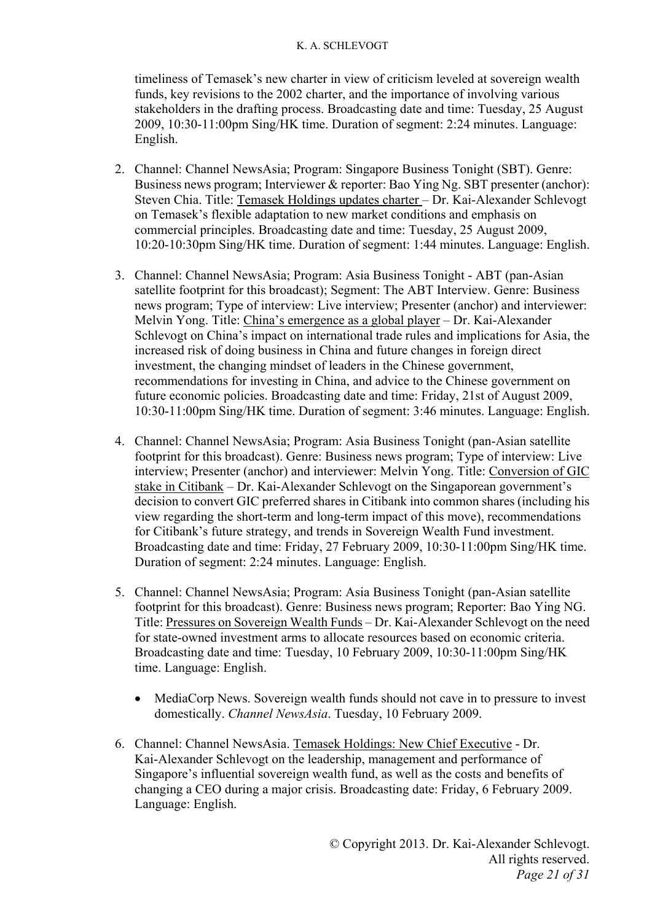timeliness of Temasek's new charter in view of criticism leveled at sovereign wealth funds, key revisions to the 2002 charter, and the importance of involving various stakeholders in the drafting process. Broadcasting date and time: Tuesday, 25 August 2009, 10:30-11:00pm Sing/HK time. Duration of segment: 2:24 minutes. Language: English.

- 2. Channel: Channel NewsAsia; Program: Singapore Business Tonight (SBT). Genre: Business news program; Interviewer & reporter: Bao Ying Ng. SBT presenter (anchor): Steven Chia. Title: Temasek Holdings updates charter – Dr. Kai-Alexander Schlevogt on Temasek's flexible adaptation to new market conditions and emphasis on commercial principles. Broadcasting date and time: Tuesday, 25 August 2009, 10:20-10:30pm Sing/HK time. Duration of segment: 1:44 minutes. Language: English.
- 3. Channel: Channel NewsAsia; Program: Asia Business Tonight ABT (pan-Asian satellite footprint for this broadcast); Segment: The ABT Interview. Genre: Business news program; Type of interview: Live interview; Presenter (anchor) and interviewer: Melvin Yong. Title: China's emergence as a global player – Dr. Kai-Alexander Schlevogt on China's impact on international trade rules and implications for Asia, the increased risk of doing business in China and future changes in foreign direct investment, the changing mindset of leaders in the Chinese government, recommendations for investing in China, and advice to the Chinese government on future economic policies. Broadcasting date and time: Friday, 21st of August 2009, 10:30-11:00pm Sing/HK time. Duration of segment: 3:46 minutes. Language: English.
- 4. Channel: Channel NewsAsia; Program: Asia Business Tonight (pan-Asian satellite footprint for this broadcast). Genre: Business news program; Type of interview: Live interview; Presenter (anchor) and interviewer: Melvin Yong. Title: Conversion of GIC stake in Citibank – Dr. Kai-Alexander Schlevogt on the Singaporean government's decision to convert GIC preferred shares in Citibank into common shares (including his view regarding the short-term and long-term impact of this move), recommendations for Citibank's future strategy, and trends in Sovereign Wealth Fund investment. Broadcasting date and time: Friday, 27 February 2009, 10:30-11:00pm Sing/HK time. Duration of segment: 2:24 minutes. Language: English.
- 5. Channel: Channel NewsAsia; Program: Asia Business Tonight (pan-Asian satellite footprint for this broadcast). Genre: Business news program; Reporter: Bao Ying NG. Title: Pressures on Sovereign Wealth Funds – Dr. Kai-Alexander Schlevogt on the need for state-owned investment arms to allocate resources based on economic criteria. Broadcasting date and time: Tuesday, 10 February 2009, 10:30-11:00pm Sing/HK time. Language: English.
	- MediaCorp News. Sovereign wealth funds should not cave in to pressure to invest domestically. *Channel NewsAsia*. Tuesday, 10 February 2009.
- 6. Channel: Channel NewsAsia. Temasek Holdings: New Chief Executive Dr. Kai-Alexander Schlevogt on the leadership, management and performance of Singapore's influential sovereign wealth fund, as well as the costs and benefits of changing a CEO during a major crisis. Broadcasting date: Friday, 6 February 2009. Language: English.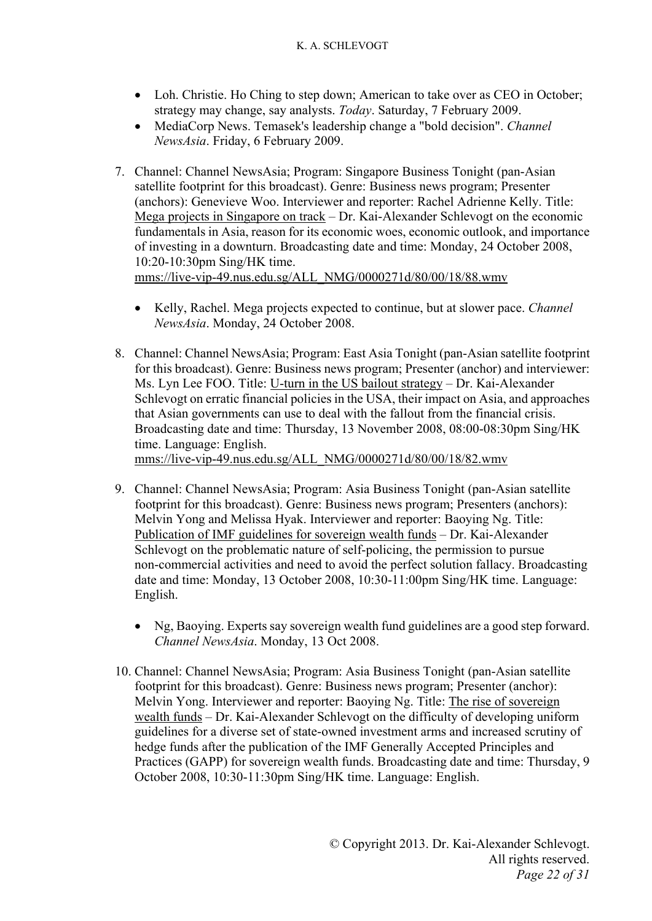- Loh. Christie. Ho Ching to step down; American to take over as CEO in October; strategy may change, say analysts. *Today*. Saturday, 7 February 2009.
- MediaCorp News. Temasek's leadership change a "bold decision". *Channel NewsAsia*. Friday, 6 February 2009.
- 7. Channel: Channel NewsAsia; Program: Singapore Business Tonight (pan-Asian satellite footprint for this broadcast). Genre: Business news program; Presenter (anchors): Genevieve Woo. Interviewer and reporter: Rachel Adrienne Kelly. Title: Mega projects in Singapore on track – Dr. Kai-Alexander Schlevogt on the economic fundamentals in Asia, reason for its economic woes, economic outlook, and importance of investing in a downturn. Broadcasting date and time: Monday, 24 October 2008, 10:20-10:30pm Sing/HK time. mms://live-vip-49.nus.edu.sg/ALL\_NMG/0000271d/80/00/18/88.wmv
	- Kelly, Rachel. Mega projects expected to continue, but at slower pace. *Channel NewsAsia*. Monday, 24 October 2008.
- 8. Channel: Channel NewsAsia; Program: East Asia Tonight (pan-Asian satellite footprint for this broadcast). Genre: Business news program; Presenter (anchor) and interviewer: Ms. Lyn Lee FOO. Title: U-turn in the US bailout strategy – Dr. Kai-Alexander Schlevogt on erratic financial policies in the USA, their impact on Asia, and approaches that Asian governments can use to deal with the fallout from the financial crisis. Broadcasting date and time: Thursday, 13 November 2008, 08:00-08:30pm Sing/HK time. Language: English.

mms://live-vip-49.nus.edu.sg/ALL\_NMG/0000271d/80/00/18/82.wmv

- 9. Channel: Channel NewsAsia; Program: Asia Business Tonight (pan-Asian satellite footprint for this broadcast). Genre: Business news program; Presenters (anchors): Melvin Yong and Melissa Hyak. Interviewer and reporter: Baoying Ng. Title: Publication of IMF guidelines for sovereign wealth funds – Dr. Kai-Alexander Schlevogt on the problematic nature of self-policing, the permission to pursue non-commercial activities and need to avoid the perfect solution fallacy. Broadcasting date and time: Monday, 13 October 2008, 10:30-11:00pm Sing/HK time. Language: English.
	- Ng, Baoying. Experts say sovereign wealth fund guidelines are a good step forward. *Channel NewsAsia*. Monday, 13 Oct 2008.
- 10. Channel: Channel NewsAsia; Program: Asia Business Tonight (pan-Asian satellite footprint for this broadcast). Genre: Business news program; Presenter (anchor): Melvin Yong. Interviewer and reporter: Baoying Ng. Title: The rise of sovereign wealth funds – Dr. Kai-Alexander Schlevogt on the difficulty of developing uniform guidelines for a diverse set of state-owned investment arms and increased scrutiny of hedge funds after the publication of the IMF Generally Accepted Principles and Practices (GAPP) for sovereign wealth funds. Broadcasting date and time: Thursday, 9 October 2008, 10:30-11:30pm Sing/HK time. Language: English.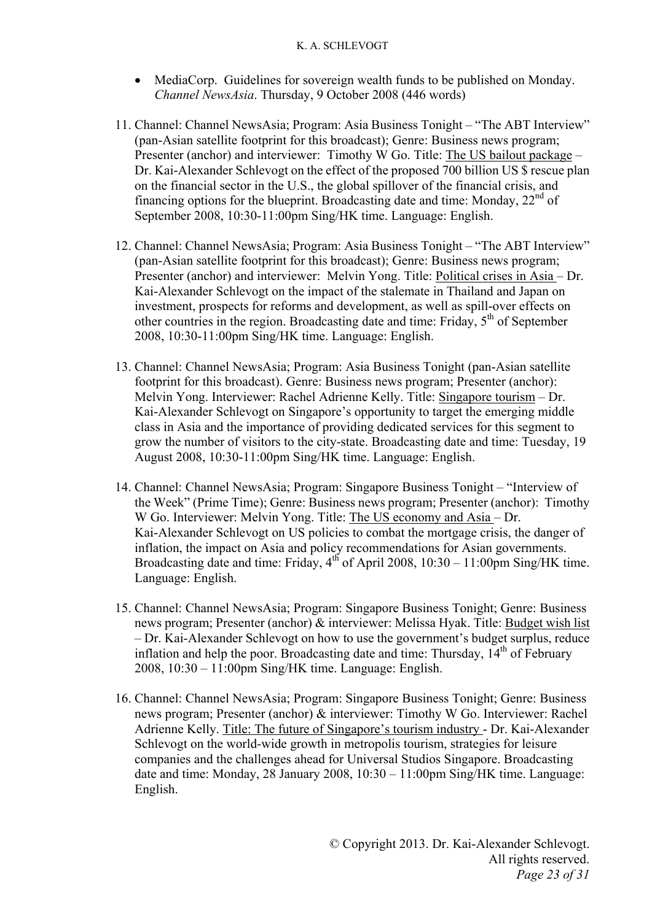- MediaCorp. Guidelines for sovereign wealth funds to be published on Monday. *Channel NewsAsia*. Thursday, 9 October 2008 (446 words)
- 11. Channel: Channel NewsAsia; Program: Asia Business Tonight "The ABT Interview" (pan-Asian satellite footprint for this broadcast); Genre: Business news program; Presenter (anchor) and interviewer: Timothy W Go. Title: The US bailout package – Dr. Kai-Alexander Schlevogt on the effect of the proposed 700 billion US \$ rescue plan on the financial sector in the U.S., the global spillover of the financial crisis, and financing options for the blueprint. Broadcasting date and time: Monday,  $22<sup>nd</sup>$  of September 2008, 10:30-11:00pm Sing/HK time. Language: English.
- 12. Channel: Channel NewsAsia; Program: Asia Business Tonight "The ABT Interview" (pan-Asian satellite footprint for this broadcast); Genre: Business news program; Presenter (anchor) and interviewer: Melvin Yong. Title: Political crises in Asia – Dr. Kai-Alexander Schlevogt on the impact of the stalemate in Thailand and Japan on investment, prospects for reforms and development, as well as spill-over effects on other countries in the region. Broadcasting date and time: Friday,  $5<sup>th</sup>$  of September 2008, 10:30-11:00pm Sing/HK time. Language: English.
- 13. Channel: Channel NewsAsia; Program: Asia Business Tonight (pan-Asian satellite footprint for this broadcast). Genre: Business news program; Presenter (anchor): Melvin Yong. Interviewer: Rachel Adrienne Kelly. Title: Singapore tourism – Dr. Kai-Alexander Schlevogt on Singapore's opportunity to target the emerging middle class in Asia and the importance of providing dedicated services for this segment to grow the number of visitors to the city-state. Broadcasting date and time: Tuesday, 19 August 2008, 10:30-11:00pm Sing/HK time. Language: English.
- 14. Channel: Channel NewsAsia; Program: Singapore Business Tonight "Interview of the Week" (Prime Time); Genre: Business news program; Presenter (anchor): Timothy W Go. Interviewer: Melvin Yong. Title: The US economy and Asia – Dr. Kai-Alexander Schlevogt on US policies to combat the mortgage crisis, the danger of inflation, the impact on Asia and policy recommendations for Asian governments. Broadcasting date and time: Friday, 4<sup>th</sup> of April 2008, 10:30 – 11:00pm Sing/HK time. Language: English.
- 15. Channel: Channel NewsAsia; Program: Singapore Business Tonight; Genre: Business news program; Presenter (anchor) & interviewer: Melissa Hyak. Title: Budget wish list – Dr. Kai-Alexander Schlevogt on how to use the government's budget surplus, reduce inflation and help the poor. Broadcasting date and time: Thursday,  $14<sup>th</sup>$  of February 2008, 10:30 – 11:00pm Sing/HK time. Language: English.
- 16. Channel: Channel NewsAsia; Program: Singapore Business Tonight; Genre: Business news program; Presenter (anchor) & interviewer: Timothy W Go. Interviewer: Rachel Adrienne Kelly. Title: The future of Singapore's tourism industry - Dr. Kai-Alexander Schlevogt on the world-wide growth in metropolis tourism, strategies for leisure companies and the challenges ahead for Universal Studios Singapore. Broadcasting date and time: Monday, 28 January 2008, 10:30 – 11:00pm Sing/HK time. Language: English.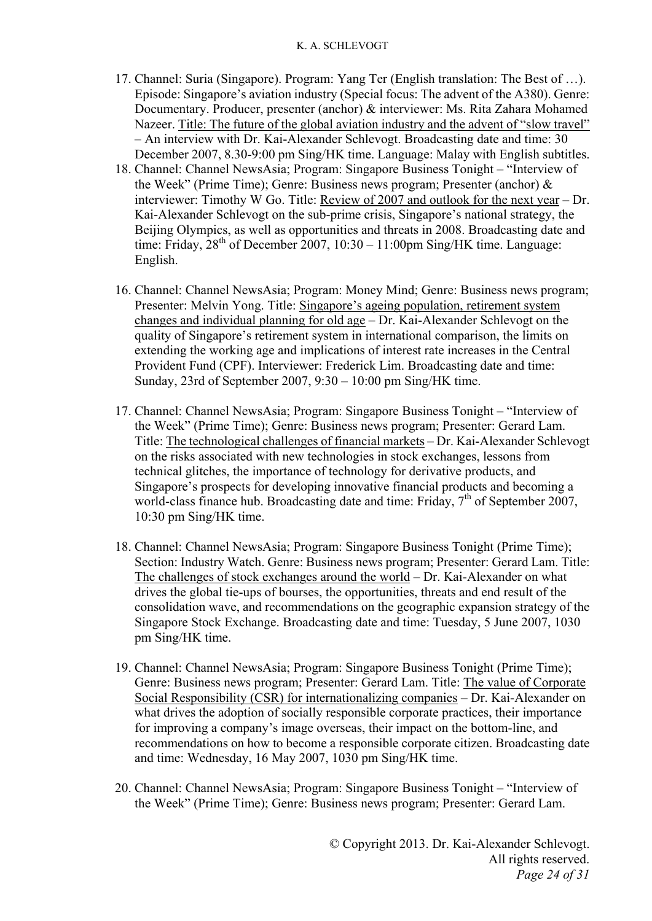- 17. Channel: Suria (Singapore). Program: Yang Ter (English translation: The Best of …). Episode: Singapore's aviation industry (Special focus: The advent of the A380). Genre: Documentary. Producer, presenter (anchor) & interviewer: Ms. Rita Zahara Mohamed Nazeer. Title: The future of the global aviation industry and the advent of "slow travel" – An interview with Dr. Kai-Alexander Schlevogt. Broadcasting date and time: 30 December 2007, 8.30-9:00 pm Sing/HK time. Language: Malay with English subtitles.
- 18. Channel: Channel NewsAsia; Program: Singapore Business Tonight "Interview of the Week" (Prime Time); Genre: Business news program; Presenter (anchor) & interviewer: Timothy W Go. Title: Review of 2007 and outlook for the next year – Dr. Kai-Alexander Schlevogt on the sub-prime crisis, Singapore's national strategy, the Beijing Olympics, as well as opportunities and threats in 2008. Broadcasting date and time: Friday,  $28^{th}$  of December 2007, 10:30 – 11:00pm Sing/HK time. Language: English.
- 16. Channel: Channel NewsAsia; Program: Money Mind; Genre: Business news program; Presenter: Melvin Yong. Title: Singapore's ageing population, retirement system changes and individual planning for old age – Dr. Kai-Alexander Schlevogt on the quality of Singapore's retirement system in international comparison, the limits on extending the working age and implications of interest rate increases in the Central Provident Fund (CPF). Interviewer: Frederick Lim. Broadcasting date and time: Sunday, 23rd of September 2007, 9:30 – 10:00 pm Sing/HK time.
- 17. Channel: Channel NewsAsia; Program: Singapore Business Tonight "Interview of the Week" (Prime Time); Genre: Business news program; Presenter: Gerard Lam. Title: The technological challenges of financial markets – Dr. Kai-Alexander Schlevogt on the risks associated with new technologies in stock exchanges, lessons from technical glitches, the importance of technology for derivative products, and Singapore's prospects for developing innovative financial products and becoming a world-class finance hub. Broadcasting date and time: Friday, 7<sup>th</sup> of September 2007, 10:30 pm Sing/HK time.
- 18. Channel: Channel NewsAsia; Program: Singapore Business Tonight (Prime Time); Section: Industry Watch. Genre: Business news program; Presenter: Gerard Lam. Title: The challenges of stock exchanges around the world – Dr. Kai-Alexander on what drives the global tie-ups of bourses, the opportunities, threats and end result of the consolidation wave, and recommendations on the geographic expansion strategy of the Singapore Stock Exchange. Broadcasting date and time: Tuesday, 5 June 2007, 1030 pm Sing/HK time.
- 19. Channel: Channel NewsAsia; Program: Singapore Business Tonight (Prime Time); Genre: Business news program; Presenter: Gerard Lam. Title: The value of Corporate Social Responsibility (CSR) for internationalizing companies – Dr. Kai-Alexander on what drives the adoption of socially responsible corporate practices, their importance for improving a company's image overseas, their impact on the bottom-line, and recommendations on how to become a responsible corporate citizen. Broadcasting date and time: Wednesday, 16 May 2007, 1030 pm Sing/HK time.
- 20. Channel: Channel NewsAsia; Program: Singapore Business Tonight "Interview of the Week" (Prime Time); Genre: Business news program; Presenter: Gerard Lam.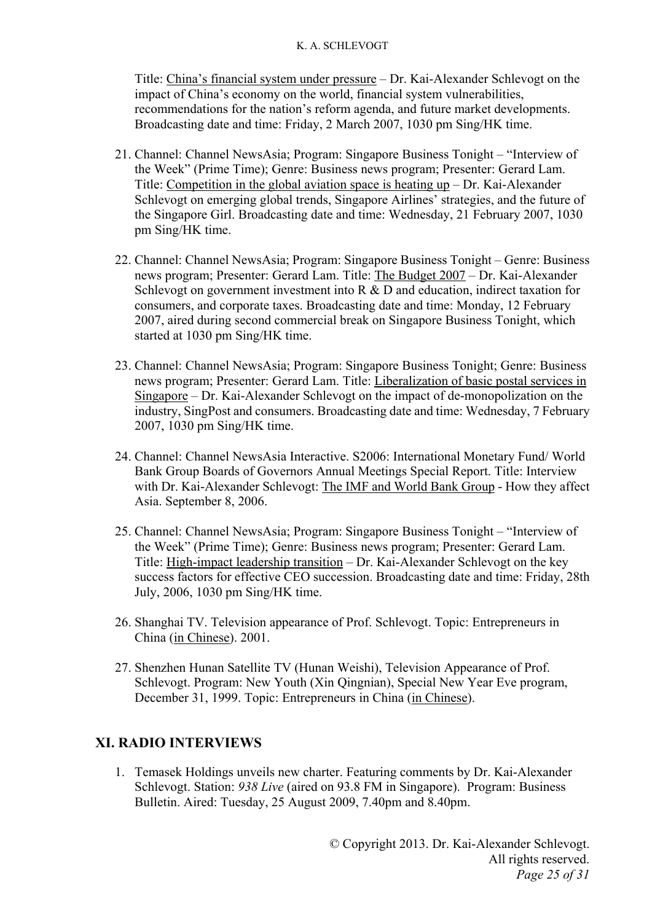Title: China's financial system under pressure – Dr. Kai-Alexander Schlevogt on the impact of China's economy on the world, financial system vulnerabilities, recommendations for the nation's reform agenda, and future market developments. Broadcasting date and time: Friday, 2 March 2007, 1030 pm Sing/HK time.

- 21. Channel: Channel NewsAsia; Program: Singapore Business Tonight "Interview of the Week" (Prime Time); Genre: Business news program; Presenter: Gerard Lam. Title: Competition in the global aviation space is heating up – Dr. Kai-Alexander Schlevogt on emerging global trends, Singapore Airlines' strategies, and the future of the Singapore Girl. Broadcasting date and time: Wednesday, 21 February 2007, 1030 pm Sing/HK time.
- 22. Channel: Channel NewsAsia; Program: Singapore Business Tonight Genre: Business news program; Presenter: Gerard Lam. Title: The Budget 2007 – Dr. Kai-Alexander Schlevogt on government investment into R & D and education, indirect taxation for consumers, and corporate taxes. Broadcasting date and time: Monday, 12 February 2007, aired during second commercial break on Singapore Business Tonight, which started at 1030 pm Sing/HK time.
- 23. Channel: Channel NewsAsia; Program: Singapore Business Tonight; Genre: Business news program; Presenter: Gerard Lam. Title: Liberalization of basic postal services in Singapore – Dr. Kai-Alexander Schlevogt on the impact of de-monopolization on the industry, SingPost and consumers. Broadcasting date and time: Wednesday, 7 February 2007, 1030 pm Sing/HK time.
- 24. Channel: Channel NewsAsia Interactive. S2006: International Monetary Fund/ World Bank Group Boards of Governors Annual Meetings Special Report. Title: Interview with Dr. Kai-Alexander Schlevogt: The IMF and World Bank Group - How they affect Asia. September 8, 2006.
- 25. Channel: Channel NewsAsia; Program: Singapore Business Tonight "Interview of the Week" (Prime Time); Genre: Business news program; Presenter: Gerard Lam. Title: High-impact leadership transition – Dr. Kai-Alexander Schlevogt on the key success factors for effective CEO succession. Broadcasting date and time: Friday, 28th July, 2006, 1030 pm Sing/HK time.
- 26. Shanghai TV. Television appearance of Prof. Schlevogt. Topic: Entrepreneurs in China (in Chinese). 2001.
- 27. Shenzhen Hunan Satellite TV (Hunan Weishi), Television Appearance of Prof. Schlevogt. Program: New Youth (Xin Qingnian), Special New Year Eve program, December 31, 1999. Topic: Entrepreneurs in China (in Chinese).

### **XI. RADIO INTERVIEWS**

1. Temasek Holdings unveils new charter. Featuring comments by Dr. Kai-Alexander Schlevogt. Station: *938 Live* (aired on 93.8 FM in Singapore). Program: Business Bulletin. Aired: Tuesday, 25 August 2009, 7.40pm and 8.40pm.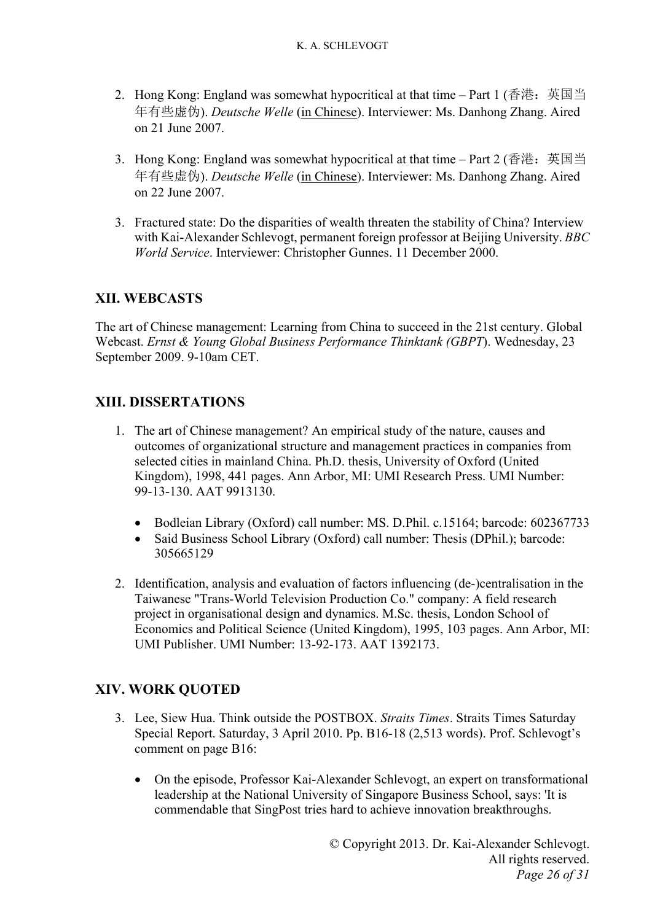- 2. Hong Kong: England was somewhat hypocritical at that time Part 1 (香港: 英国当 年有些虚伪). *Deutsche Welle* (in Chinese). Interviewer: Ms. Danhong Zhang. Aired on 21 June 2007.
- 3. Hong Kong: England was somewhat hypocritical at that time Part 2 (香港: 英国当 年有些虚伪). *Deutsche Welle* (in Chinese). Interviewer: Ms. Danhong Zhang. Aired on 22 June 2007.
- 3. Fractured state: Do the disparities of wealth threaten the stability of China? Interview with Kai-Alexander Schlevogt, permanent foreign professor at Beijing University. *BBC World Service*. Interviewer: Christopher Gunnes. 11 December 2000.

# **XII. WEBCASTS**

The art of Chinese management: Learning from China to succeed in the 21st century. Global Webcast. *Ernst & Young Global Business Performance Thinktank (GBPT*). Wednesday, 23 September 2009. 9-10am CET.

# **XIII. DISSERTATIONS**

- 1. The art of Chinese management? An empirical study of the nature, causes and outcomes of organizational structure and management practices in companies from selected cities in mainland China. Ph.D. thesis, University of Oxford (United Kingdom), 1998, 441 pages. Ann Arbor, MI: UMI Research Press. UMI Number: 99-13-130. AAT 9913130.
	- Bodleian Library (Oxford) call number: MS. D.Phil. c.15164; barcode: 602367733
	- Said Business School Library (Oxford) call number: Thesis (DPhil.); barcode: 305665129
- 2. Identification, analysis and evaluation of factors influencing (de-)centralisation in the Taiwanese "Trans-World Television Production Co." company: A field research project in organisational design and dynamics. M.Sc. thesis, London School of Economics and Political Science (United Kingdom), 1995, 103 pages. Ann Arbor, MI: UMI Publisher. UMI Number: 13-92-173. AAT 1392173.

# **XIV. WORK QUOTED**

- 3. Lee, Siew Hua. Think outside the POSTBOX. *Straits Times*. Straits Times Saturday Special Report. Saturday, 3 April 2010. Pp. B16-18 (2,513 words). Prof. Schlevogt's comment on page B16:
	- On the episode, Professor Kai-Alexander Schlevogt, an expert on transformational leadership at the National University of Singapore Business School, says: 'It is commendable that SingPost tries hard to achieve innovation breakthroughs.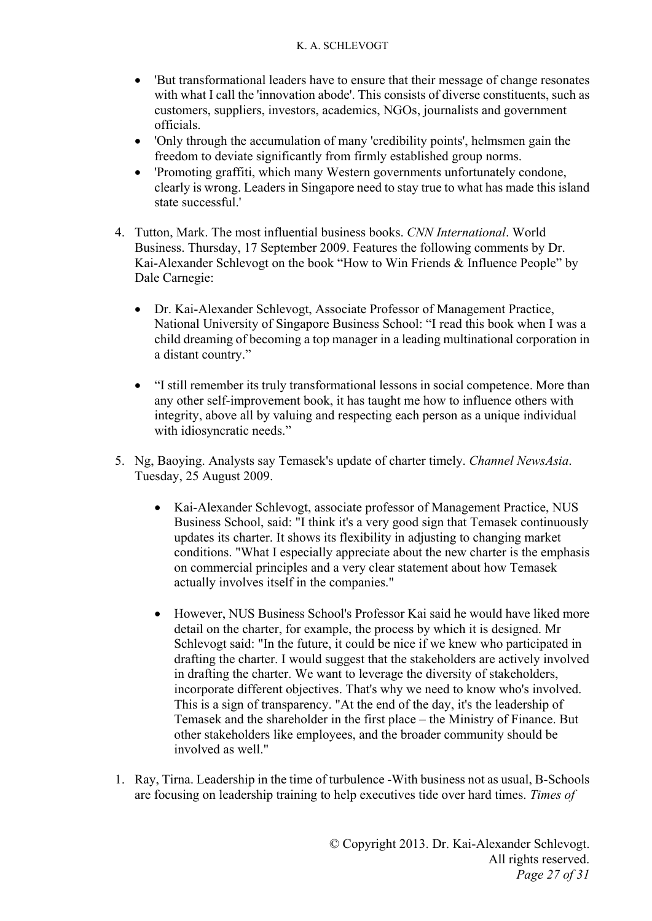- 'But transformational leaders have to ensure that their message of change resonates with what I call the 'innovation abode'. This consists of diverse constituents, such as customers, suppliers, investors, academics, NGOs, journalists and government officials.
- 'Only through the accumulation of many 'credibility points', helmsmen gain the freedom to deviate significantly from firmly established group norms.
- 'Promoting graffiti, which many Western governments unfortunately condone, clearly is wrong. Leaders in Singapore need to stay true to what has made this island state successful.'
- 4. Tutton, Mark. The most influential business books. *CNN International*. World Business. Thursday, 17 September 2009. Features the following comments by Dr. Kai-Alexander Schlevogt on the book "How to Win Friends & Influence People" by Dale Carnegie:
	- Dr. Kai-Alexander Schlevogt, Associate Professor of Management Practice, National University of Singapore Business School: "I read this book when I was a child dreaming of becoming a top manager in a leading multinational corporation in a distant country."
	- "I still remember its truly transformational lessons in social competence. More than any other self-improvement book, it has taught me how to influence others with integrity, above all by valuing and respecting each person as a unique individual with idiosyncratic needs."
- 5. Ng, Baoying. Analysts say Temasek's update of charter timely. *Channel NewsAsia*. Tuesday, 25 August 2009.
	- Kai-Alexander Schlevogt, associate professor of Management Practice, NUS Business School, said: "I think it's a very good sign that Temasek continuously updates its charter. It shows its flexibility in adjusting to changing market conditions. "What I especially appreciate about the new charter is the emphasis on commercial principles and a very clear statement about how Temasek actually involves itself in the companies."
	- However, NUS Business School's Professor Kai said he would have liked more detail on the charter, for example, the process by which it is designed. Mr Schlevogt said: "In the future, it could be nice if we knew who participated in drafting the charter. I would suggest that the stakeholders are actively involved in drafting the charter. We want to leverage the diversity of stakeholders, incorporate different objectives. That's why we need to know who's involved. This is a sign of transparency. "At the end of the day, it's the leadership of Temasek and the shareholder in the first place – the Ministry of Finance. But other stakeholders like employees, and the broader community should be involved as well."
- 1. Ray, Tirna. Leadership in the time of turbulence -With business not as usual, B-Schools are focusing on leadership training to help executives tide over hard times. *Times of*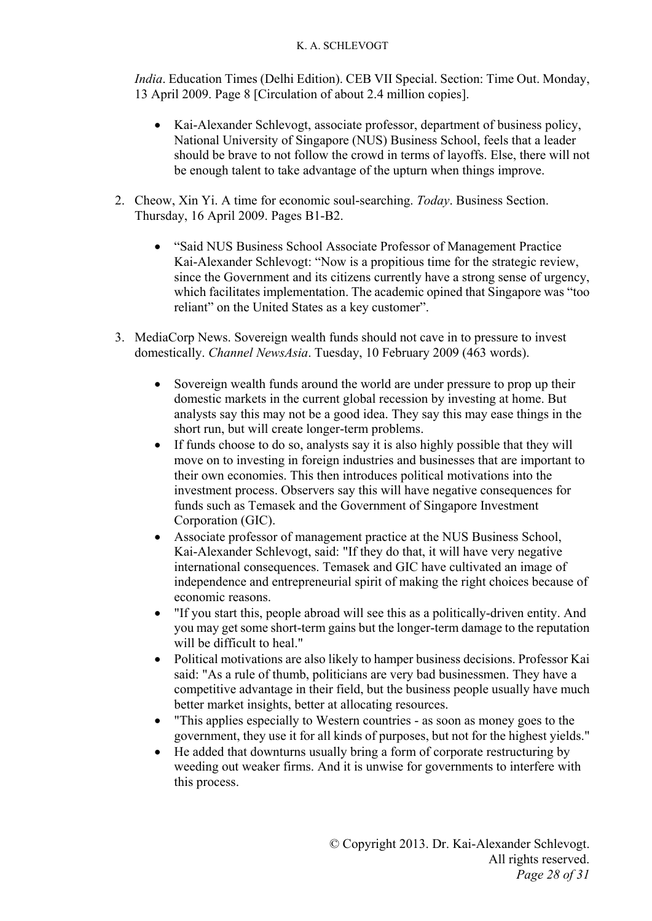*India*. Education Times (Delhi Edition). CEB VII Special. Section: Time Out. Monday, 13 April 2009. Page 8 [Circulation of about 2.4 million copies].

- Kai-Alexander Schlevogt, associate professor, department of business policy, National University of Singapore (NUS) Business School, feels that a leader should be brave to not follow the crowd in terms of layoffs. Else, there will not be enough talent to take advantage of the upturn when things improve.
- 2. Cheow, Xin Yi. A time for economic soul-searching. *Today*. Business Section. Thursday, 16 April 2009. Pages B1-B2.
	- "Said NUS Business School Associate Professor of Management Practice Kai-Alexander Schlevogt: "Now is a propitious time for the strategic review, since the Government and its citizens currently have a strong sense of urgency, which facilitates implementation. The academic opined that Singapore was "too reliant" on the United States as a key customer".
- 3. MediaCorp News. Sovereign wealth funds should not cave in to pressure to invest domestically. *Channel NewsAsia*. Tuesday, 10 February 2009 (463 words).
	- Sovereign wealth funds around the world are under pressure to prop up their domestic markets in the current global recession by investing at home. But analysts say this may not be a good idea. They say this may ease things in the short run, but will create longer-term problems.
	- If funds choose to do so, analysts say it is also highly possible that they will move on to investing in foreign industries and businesses that are important to their own economies. This then introduces political motivations into the investment process. Observers say this will have negative consequences for funds such as Temasek and the Government of Singapore Investment Corporation (GIC).
	- Associate professor of management practice at the NUS Business School, Kai-Alexander Schlevogt, said: "If they do that, it will have very negative international consequences. Temasek and GIC have cultivated an image of independence and entrepreneurial spirit of making the right choices because of economic reasons.
	- "If you start this, people abroad will see this as a politically-driven entity. And you may get some short-term gains but the longer-term damage to the reputation will be difficult to heal."
	- Political motivations are also likely to hamper business decisions. Professor Kai said: "As a rule of thumb, politicians are very bad businessmen. They have a competitive advantage in their field, but the business people usually have much better market insights, better at allocating resources.
	- "This applies especially to Western countries as soon as money goes to the government, they use it for all kinds of purposes, but not for the highest yields."
	- He added that downturns usually bring a form of corporate restructuring by weeding out weaker firms. And it is unwise for governments to interfere with this process.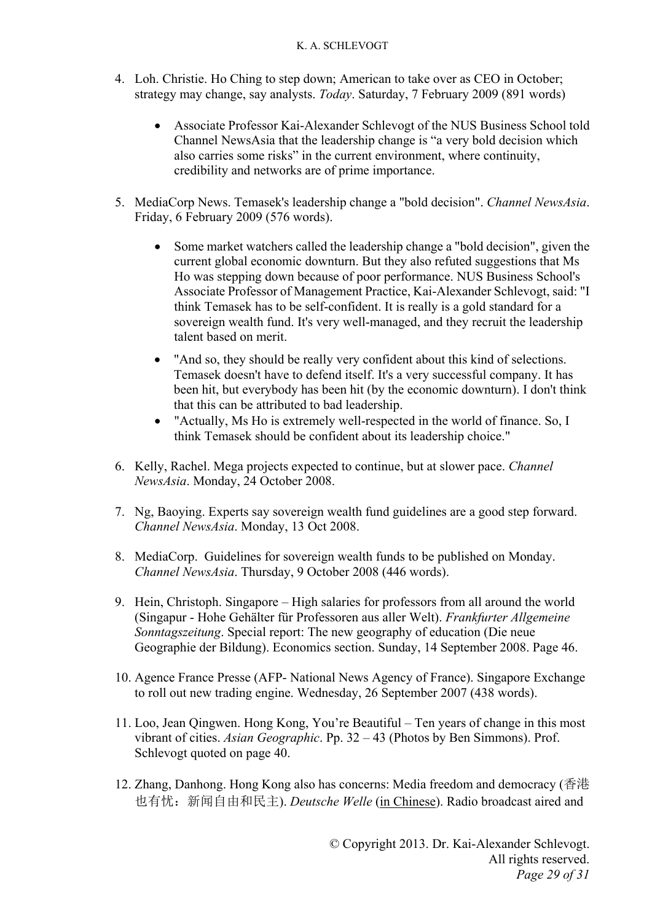- 4. Loh. Christie. Ho Ching to step down; American to take over as CEO in October; strategy may change, say analysts. *Today*. Saturday, 7 February 2009 (891 words)
	- Associate Professor Kai-Alexander Schlevogt of the NUS Business School told Channel NewsAsia that the leadership change is "a very bold decision which also carries some risks" in the current environment, where continuity, credibility and networks are of prime importance.
- 5. MediaCorp News. Temasek's leadership change a "bold decision". *Channel NewsAsia*. Friday, 6 February 2009 (576 words).
	- Some market watchers called the leadership change a "bold decision", given the current global economic downturn. But they also refuted suggestions that Ms Ho was stepping down because of poor performance. NUS Business School's Associate Professor of Management Practice, Kai-Alexander Schlevogt, said: "I think Temasek has to be self-confident. It is really is a gold standard for a sovereign wealth fund. It's very well-managed, and they recruit the leadership talent based on merit.
	- "And so, they should be really very confident about this kind of selections. Temasek doesn't have to defend itself. It's a very successful company. It has been hit, but everybody has been hit (by the economic downturn). I don't think that this can be attributed to bad leadership.
	- "Actually, Ms Ho is extremely well-respected in the world of finance. So, I think Temasek should be confident about its leadership choice."
- 6. Kelly, Rachel. Mega projects expected to continue, but at slower pace. *Channel NewsAsia*. Monday, 24 October 2008.
- 7. Ng, Baoying. Experts say sovereign wealth fund guidelines are a good step forward. *Channel NewsAsia*. Monday, 13 Oct 2008.
- 8. MediaCorp. Guidelines for sovereign wealth funds to be published on Monday. *Channel NewsAsia*. Thursday, 9 October 2008 (446 words).
- 9. Hein, Christoph. Singapore High salaries for professors from all around the world (Singapur - Hohe Gehälter für Professoren aus aller Welt). *Frankfurter Allgemeine Sonntagszeitung*. Special report: The new geography of education (Die neue Geographie der Bildung). Economics section. Sunday, 14 September 2008. Page 46.
- 10. Agence France Presse (AFP- National News Agency of France). Singapore Exchange to roll out new trading engine. Wednesday, 26 September 2007 (438 words).
- 11. Loo, Jean Qingwen. Hong Kong, You're Beautiful Ten years of change in this most vibrant of cities. *Asian Geographic*. Pp. 32 – 43 (Photos by Ben Simmons). Prof. Schlevogt quoted on page 40.
- 12. Zhang, Danhong. Hong Kong also has concerns: Media freedom and democracy (香港 也有忧:新闻自由和民主). *Deutsche Welle* (in Chinese). Radio broadcast aired and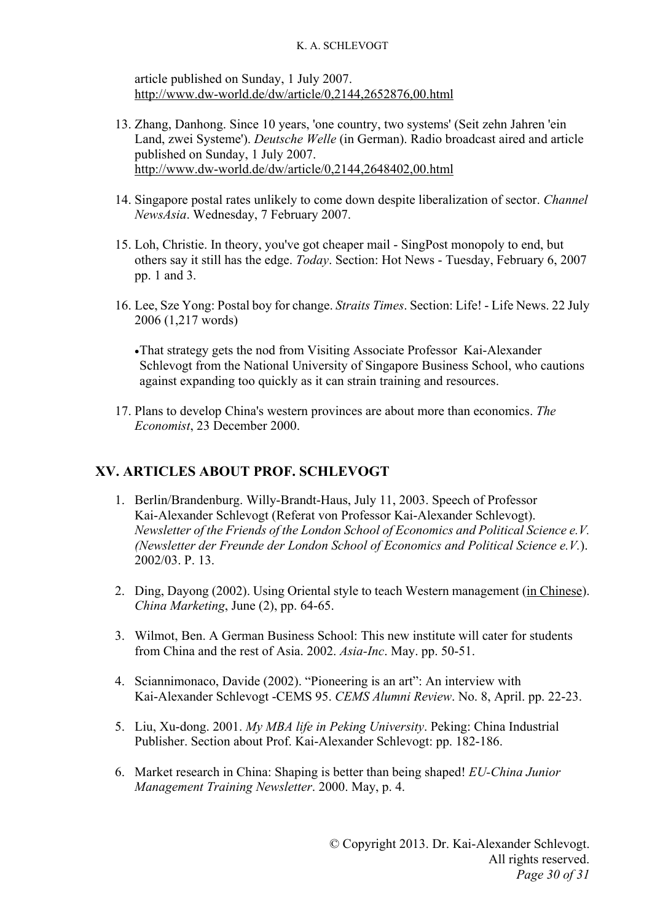article published on Sunday, 1 July 2007. http://www.dw-world.de/dw/article/0,2144,2652876,00.html

- 13. Zhang, Danhong. Since 10 years, 'one country, two systems' (Seit zehn Jahren 'ein Land, zwei Systeme'). *Deutsche Welle* (in German). Radio broadcast aired and article published on Sunday, 1 July 2007. http://www.dw-world.de/dw/article/0,2144,2648402,00.html
- 14. Singapore postal rates unlikely to come down despite liberalization of sector. *Channel NewsAsia*. Wednesday, 7 February 2007.
- 15. Loh, Christie. In theory, you've got cheaper mail SingPost monopoly to end, but others say it still has the edge. *Today*. Section: Hot News - Tuesday, February 6, 2007 pp. 1 and 3.
- 16. Lee, Sze Yong: Postal boy for change. *Straits Times*. Section: Life! Life News. 22 July 2006 (1,217 words)

That strategy gets the nod from Visiting Associate Professor Kai-Alexander Schlevogt from the National University of Singapore Business School, who cautions against expanding too quickly as it can strain training and resources.

17. Plans to develop China's western provinces are about more than economics. *The Economist*, 23 December 2000.

### **XV. ARTICLES ABOUT PROF. SCHLEVOGT**

- 1. Berlin/Brandenburg. Willy-Brandt-Haus, July 11, 2003. Speech of Professor Kai-Alexander Schlevogt (Referat von Professor Kai-Alexander Schlevogt). *Newsletter of the Friends of the London School of Economics and Political Science e.V. (Newsletter der Freunde der London School of Economics and Political Science e.V.*). 2002/03. P. 13.
- 2. Ding, Dayong (2002). Using Oriental style to teach Western management (in Chinese). *China Marketing*, June (2), pp. 64-65.
- 3. Wilmot, Ben. A German Business School: This new institute will cater for students from China and the rest of Asia. 2002. *Asia-Inc*. May. pp. 50-51.
- 4. Sciannimonaco, Davide (2002). "Pioneering is an art": An interview with Kai-Alexander Schlevogt -CEMS 95. *CEMS Alumni Review*. No. 8, April. pp. 22-23.
- 5. Liu, Xu-dong. 2001. *My MBA life in Peking University*. Peking: China Industrial Publisher. Section about Prof. Kai-Alexander Schlevogt: pp. 182-186.
- 6. Market research in China: Shaping is better than being shaped! *EU-China Junior Management Training Newsletter*. 2000. May, p. 4.